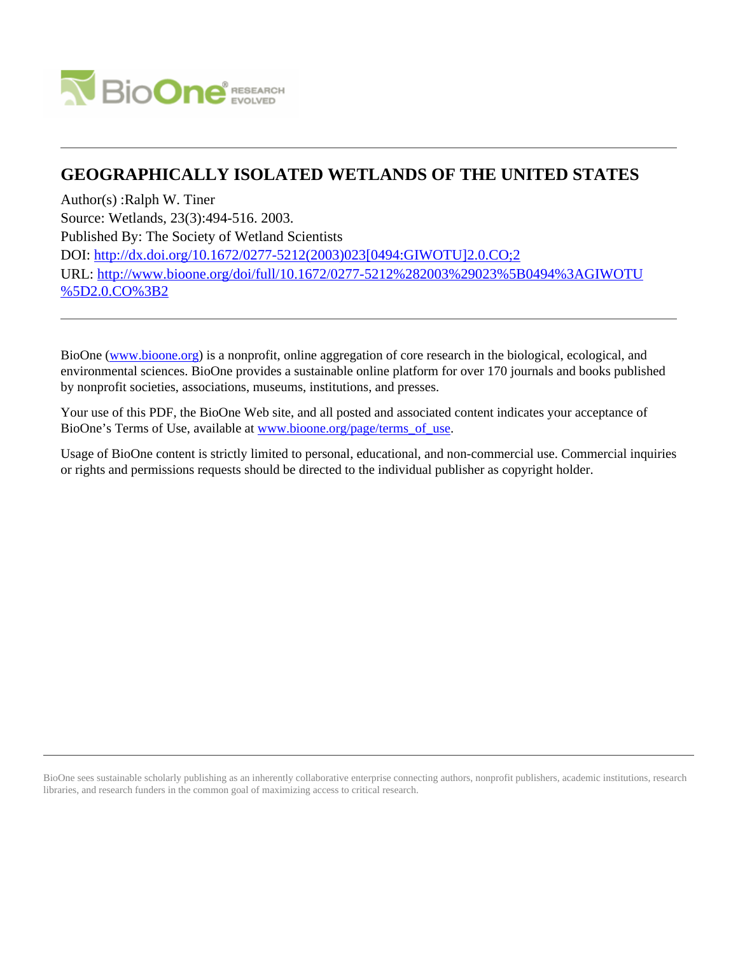

# **GEOGRAPHICALLY ISOLATED WETLANDS OF THE UNITED STATES**

Author(s) :Ralph W. Tiner Source: Wetlands, 23(3):494-516. 2003. Published By: The Society of Wetland Scientists DOI: [http://dx.doi.org/10.1672/0277-5212\(2003\)023\[0494:GIWOTU\]2.0.CO;2](http://dx.doi.org/10.1672/0277-5212(2003)023[0494:GIWOTU]2.0.CO;2) URL: [http://www.bioone.org/doi/full/10.1672/0277-5212%282003%29023%5B0494%3AGIWOTU](http://www.bioone.org/doi/full/10.1672/0277-5212%282003%29023%5B0494%3AGIWOTU%5D2.0.CO%3B2) [%5D2.0.CO%3B2](http://www.bioone.org/doi/full/10.1672/0277-5212%282003%29023%5B0494%3AGIWOTU%5D2.0.CO%3B2)

BioOne [\(www.bioone.org\)](http://www.bioone.org) is a nonprofit, online aggregation of core research in the biological, ecological, and environmental sciences. BioOne provides a sustainable online platform for over 170 journals and books published by nonprofit societies, associations, museums, institutions, and presses.

Your use of this PDF, the BioOne Web site, and all posted and associated content indicates your acceptance of BioOne's Terms of Use, available at [www.bioone.org/page/terms\\_of\\_use.](http://www.bioone.org/page/terms_of_use)

Usage of BioOne content is strictly limited to personal, educational, and non-commercial use. Commercial inquiries or rights and permissions requests should be directed to the individual publisher as copyright holder.

BioOne sees sustainable scholarly publishing as an inherently collaborative enterprise connecting authors, nonprofit publishers, academic institutions, research libraries, and research funders in the common goal of maximizing access to critical research.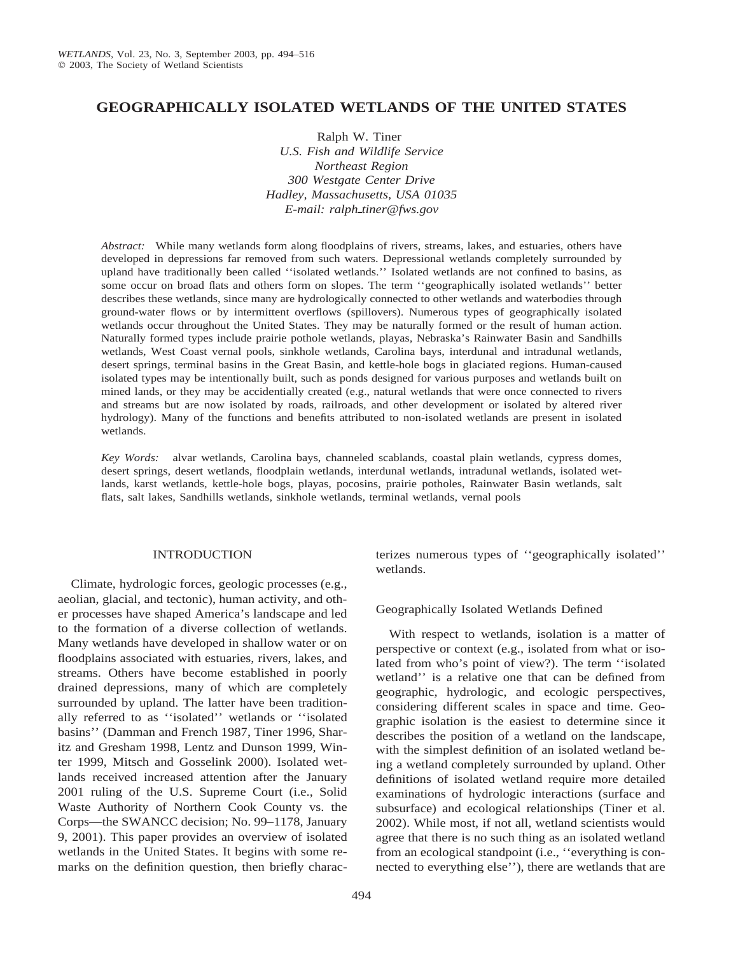# **GEOGRAPHICALLY ISOLATED WETLANDS OF THE UNITED STATES**

Ralph W. Tiner *U.S. Fish and Wildlife Service Northeast Region 300 Westgate Center Drive Hadley, Massachusetts, USA 01035 E-mail: ralph\_tiner@fws.gov* 

*Abstract:* While many wetlands form along floodplains of rivers, streams, lakes, and estuaries, others have developed in depressions far removed from such waters. Depressional wetlands completely surrounded by upland have traditionally been called ''isolated wetlands.'' Isolated wetlands are not confined to basins, as some occur on broad flats and others form on slopes. The term ''geographically isolated wetlands'' better describes these wetlands, since many are hydrologically connected to other wetlands and waterbodies through ground-water flows or by intermittent overflows (spillovers). Numerous types of geographically isolated wetlands occur throughout the United States. They may be naturally formed or the result of human action. Naturally formed types include prairie pothole wetlands, playas, Nebraska's Rainwater Basin and Sandhills wetlands, West Coast vernal pools, sinkhole wetlands, Carolina bays, interdunal and intradunal wetlands, desert springs, terminal basins in the Great Basin, and kettle-hole bogs in glaciated regions. Human-caused isolated types may be intentionally built, such as ponds designed for various purposes and wetlands built on mined lands, or they may be accidentially created (e.g., natural wetlands that were once connected to rivers and streams but are now isolated by roads, railroads, and other development or isolated by altered river hydrology). Many of the functions and benefits attributed to non-isolated wetlands are present in isolated wetlands.

*Key Words:* alvar wetlands, Carolina bays, channeled scablands, coastal plain wetlands, cypress domes, desert springs, desert wetlands, floodplain wetlands, interdunal wetlands, intradunal wetlands, isolated wetlands, karst wetlands, kettle-hole bogs, playas, pocosins, prairie potholes, Rainwater Basin wetlands, salt flats, salt lakes, Sandhills wetlands, sinkhole wetlands, terminal wetlands, vernal pools

# INTRODUCTION

Climate, hydrologic forces, geologic processes (e.g., aeolian, glacial, and tectonic), human activity, and other processes have shaped America's landscape and led to the formation of a diverse collection of wetlands. Many wetlands have developed in shallow water or on floodplains associated with estuaries, rivers, lakes, and streams. Others have become established in poorly drained depressions, many of which are completely surrounded by upland. The latter have been traditionally referred to as ''isolated'' wetlands or ''isolated basins'' (Damman and French 1987, Tiner 1996, Sharitz and Gresham 1998, Lentz and Dunson 1999, Winter 1999, Mitsch and Gosselink 2000). Isolated wetlands received increased attention after the January 2001 ruling of the U.S. Supreme Court (i.e., Solid Waste Authority of Northern Cook County vs. the Corps—the SWANCC decision; No. 99–1178, January 9, 2001). This paper provides an overview of isolated wetlands in the United States. It begins with some remarks on the definition question, then briefly characterizes numerous types of ''geographically isolated'' wetlands.

#### Geographically Isolated Wetlands Defined

With respect to wetlands, isolation is a matter of perspective or context (e.g., isolated from what or isolated from who's point of view?). The term ''isolated wetland'' is a relative one that can be defined from geographic, hydrologic, and ecologic perspectives, considering different scales in space and time. Geographic isolation is the easiest to determine since it describes the position of a wetland on the landscape, with the simplest definition of an isolated wetland being a wetland completely surrounded by upland. Other definitions of isolated wetland require more detailed examinations of hydrologic interactions (surface and subsurface) and ecological relationships (Tiner et al. 2002). While most, if not all, wetland scientists would agree that there is no such thing as an isolated wetland from an ecological standpoint (i.e., ''everything is connected to everything else''), there are wetlands that are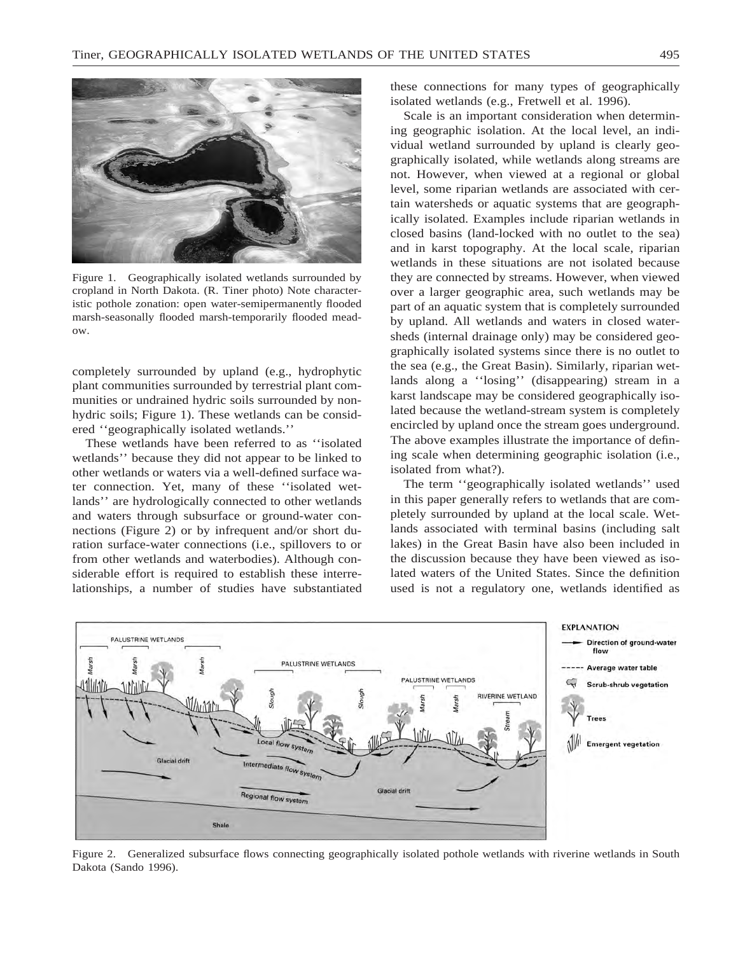

Figure 1. Geographically isolated wetlands surrounded by cropland in North Dakota. (R. Tiner photo) Note characteristic pothole zonation: open water-semipermanently flooded marsh-seasonally flooded marsh-temporarily flooded meadow.

completely surrounded by upland (e.g., hydrophytic plant communities surrounded by terrestrial plant communities or undrained hydric soils surrounded by nonhydric soils; Figure 1). These wetlands can be considered ''geographically isolated wetlands.''

These wetlands have been referred to as ''isolated wetlands'' because they did not appear to be linked to other wetlands or waters via a well-defined surface water connection. Yet, many of these ''isolated wetlands'' are hydrologically connected to other wetlands and waters through subsurface or ground-water connections (Figure 2) or by infrequent and/or short duration surface-water connections (i.e., spillovers to or from other wetlands and waterbodies). Although considerable effort is required to establish these interrelationships, a number of studies have substantiated

these connections for many types of geographically isolated wetlands (e.g., Fretwell et al. 1996).

Scale is an important consideration when determining geographic isolation. At the local level, an individual wetland surrounded by upland is clearly geographically isolated, while wetlands along streams are not. However, when viewed at a regional or global level, some riparian wetlands are associated with certain watersheds or aquatic systems that are geographically isolated. Examples include riparian wetlands in closed basins (land-locked with no outlet to the sea) and in karst topography. At the local scale, riparian wetlands in these situations are not isolated because they are connected by streams. However, when viewed over a larger geographic area, such wetlands may be part of an aquatic system that is completely surrounded by upland. All wetlands and waters in closed watersheds (internal drainage only) may be considered geographically isolated systems since there is no outlet to the sea (e.g., the Great Basin). Similarly, riparian wetlands along a ''losing'' (disappearing) stream in a karst landscape may be considered geographically isolated because the wetland-stream system is completely encircled by upland once the stream goes underground. The above examples illustrate the importance of defining scale when determining geographic isolation (i.e., isolated from what?).

The term ''geographically isolated wetlands'' used in this paper generally refers to wetlands that are completely surrounded by upland at the local scale. Wetlands associated with terminal basins (including salt lakes) in the Great Basin have also been included in the discussion because they have been viewed as isolated waters of the United States. Since the definition used is not a regulatory one, wetlands identified as



Figure 2. Generalized subsurface flows connecting geographically isolated pothole wetlands with riverine wetlands in South Dakota (Sando 1996).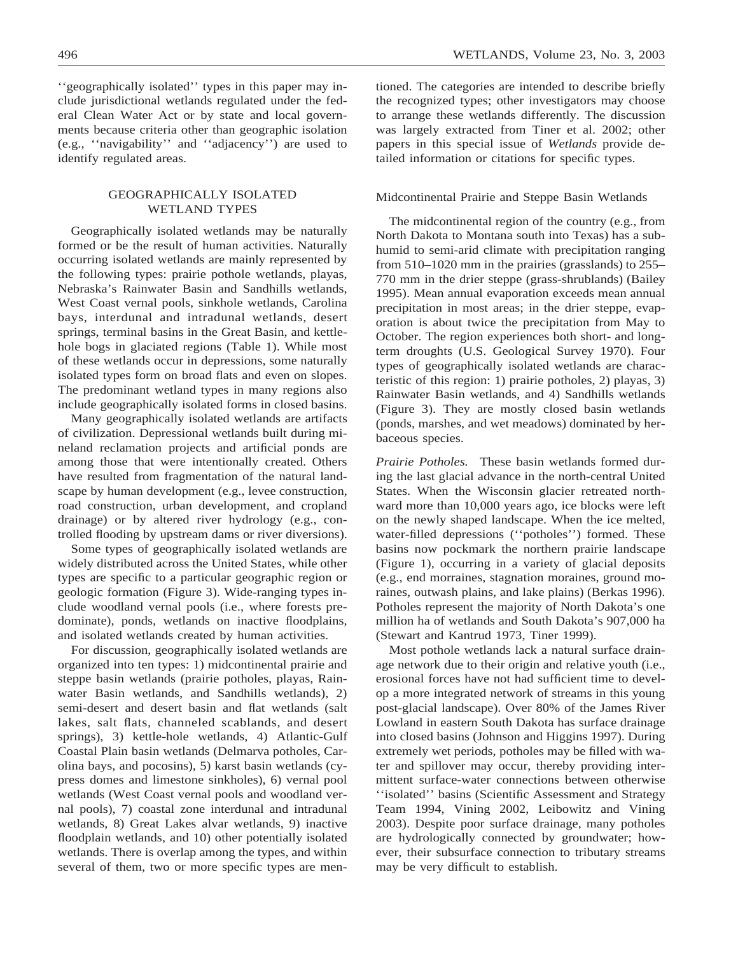## GEOGRAPHICALLY ISOLATED WETLAND TYPES

Geographically isolated wetlands may be naturally formed or be the result of human activities. Naturally occurring isolated wetlands are mainly represented by the following types: prairie pothole wetlands, playas, Nebraska's Rainwater Basin and Sandhills wetlands, West Coast vernal pools, sinkhole wetlands, Carolina bays, interdunal and intradunal wetlands, desert springs, terminal basins in the Great Basin, and kettlehole bogs in glaciated regions (Table 1). While most of these wetlands occur in depressions, some naturally isolated types form on broad flats and even on slopes. The predominant wetland types in many regions also include geographically isolated forms in closed basins.

Many geographically isolated wetlands are artifacts of civilization. Depressional wetlands built during mineland reclamation projects and artificial ponds are among those that were intentionally created. Others have resulted from fragmentation of the natural landscape by human development (e.g., levee construction, road construction, urban development, and cropland drainage) or by altered river hydrology (e.g., controlled flooding by upstream dams or river diversions).

Some types of geographically isolated wetlands are widely distributed across the United States, while other types are specific to a particular geographic region or geologic formation (Figure 3). Wide-ranging types include woodland vernal pools (i.e., where forests predominate), ponds, wetlands on inactive floodplains, and isolated wetlands created by human activities.

For discussion, geographically isolated wetlands are organized into ten types: 1) midcontinental prairie and steppe basin wetlands (prairie potholes, playas, Rainwater Basin wetlands, and Sandhills wetlands), 2) semi-desert and desert basin and flat wetlands (salt lakes, salt flats, channeled scablands, and desert springs), 3) kettle-hole wetlands, 4) Atlantic-Gulf Coastal Plain basin wetlands (Delmarva potholes, Carolina bays, and pocosins), 5) karst basin wetlands (cypress domes and limestone sinkholes), 6) vernal pool wetlands (West Coast vernal pools and woodland vernal pools), 7) coastal zone interdunal and intradunal wetlands, 8) Great Lakes alvar wetlands, 9) inactive floodplain wetlands, and 10) other potentially isolated wetlands. There is overlap among the types, and within several of them, two or more specific types are mentioned. The categories are intended to describe briefly

the recognized types; other investigators may choose to arrange these wetlands differently. The discussion was largely extracted from Tiner et al. 2002; other papers in this special issue of *Wetlands* provide detailed information or citations for specific types.

#### Midcontinental Prairie and Steppe Basin Wetlands

The midcontinental region of the country (e.g., from North Dakota to Montana south into Texas) has a subhumid to semi-arid climate with precipitation ranging from 510–1020 mm in the prairies (grasslands) to 255– 770 mm in the drier steppe (grass-shrublands) (Bailey 1995). Mean annual evaporation exceeds mean annual precipitation in most areas; in the drier steppe, evaporation is about twice the precipitation from May to October. The region experiences both short- and longterm droughts (U.S. Geological Survey 1970). Four types of geographically isolated wetlands are characteristic of this region: 1) prairie potholes, 2) playas, 3) Rainwater Basin wetlands, and 4) Sandhills wetlands (Figure 3). They are mostly closed basin wetlands (ponds, marshes, and wet meadows) dominated by herbaceous species.

*Prairie Potholes.* These basin wetlands formed during the last glacial advance in the north-central United States. When the Wisconsin glacier retreated northward more than 10,000 years ago, ice blocks were left on the newly shaped landscape. When the ice melted, water-filled depressions (''potholes'') formed. These basins now pockmark the northern prairie landscape (Figure 1), occurring in a variety of glacial deposits (e.g., end morraines, stagnation moraines, ground moraines, outwash plains, and lake plains) (Berkas 1996). Potholes represent the majority of North Dakota's one million ha of wetlands and South Dakota's 907,000 ha (Stewart and Kantrud 1973, Tiner 1999).

Most pothole wetlands lack a natural surface drainage network due to their origin and relative youth (i.e., erosional forces have not had sufficient time to develop a more integrated network of streams in this young post-glacial landscape). Over 80% of the James River Lowland in eastern South Dakota has surface drainage into closed basins (Johnson and Higgins 1997). During extremely wet periods, potholes may be filled with water and spillover may occur, thereby providing intermittent surface-water connections between otherwise ''isolated'' basins (Scientific Assessment and Strategy Team 1994, Vining 2002, Leibowitz and Vining 2003). Despite poor surface drainage, many potholes are hydrologically connected by groundwater; however, their subsurface connection to tributary streams may be very difficult to establish.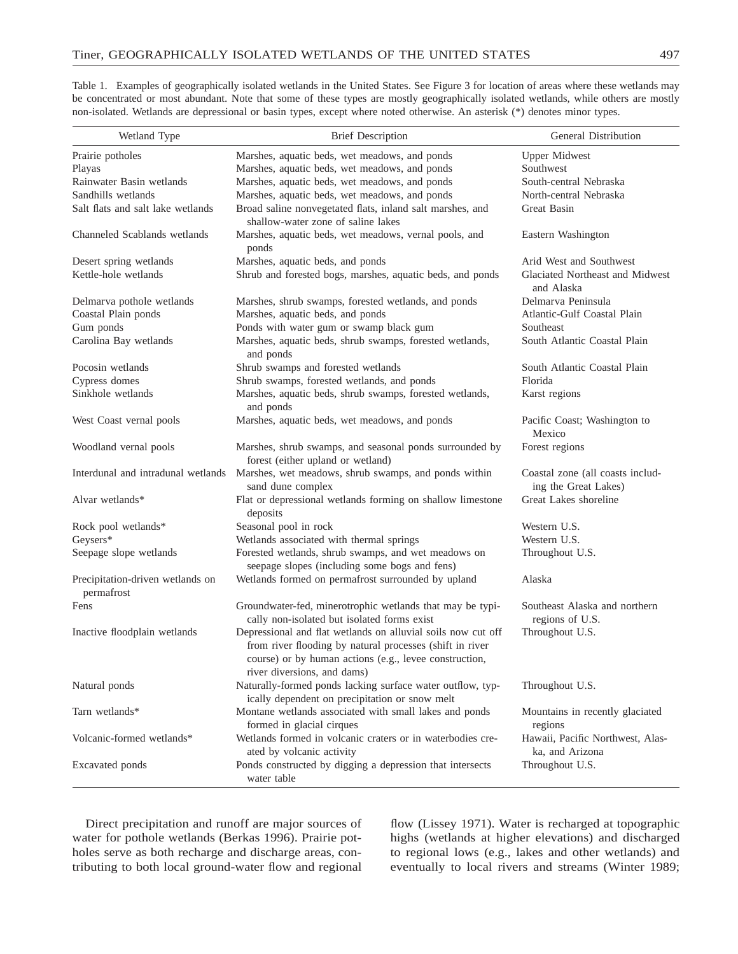| Wetland Type                                   | <b>Brief Description</b>                                                                                                                                                                                          | General Distribution                                     |
|------------------------------------------------|-------------------------------------------------------------------------------------------------------------------------------------------------------------------------------------------------------------------|----------------------------------------------------------|
| Prairie potholes                               | Marshes, aquatic beds, wet meadows, and ponds                                                                                                                                                                     | <b>Upper Midwest</b>                                     |
| Playas                                         | Marshes, aquatic beds, wet meadows, and ponds                                                                                                                                                                     | Southwest                                                |
| Rainwater Basin wetlands                       | Marshes, aquatic beds, wet meadows, and ponds                                                                                                                                                                     | South-central Nebraska                                   |
| Sandhills wetlands                             | Marshes, aquatic beds, wet meadows, and ponds                                                                                                                                                                     | North-central Nebraska                                   |
| Salt flats and salt lake wetlands              | Broad saline nonvegetated flats, inland salt marshes, and<br>shallow-water zone of saline lakes                                                                                                                   | Great Basin                                              |
| Channeled Scablands wetlands                   | Marshes, aquatic beds, wet meadows, vernal pools, and<br>ponds                                                                                                                                                    | Eastern Washington                                       |
| Desert spring wetlands                         | Marshes, aquatic beds, and ponds                                                                                                                                                                                  | Arid West and Southwest                                  |
| Kettle-hole wetlands                           | Shrub and forested bogs, marshes, aquatic beds, and ponds                                                                                                                                                         | Glaciated Northeast and Midwest<br>and Alaska            |
| Delmarva pothole wetlands                      | Marshes, shrub swamps, forested wetlands, and ponds                                                                                                                                                               | Delmarva Peninsula                                       |
| Coastal Plain ponds                            | Marshes, aquatic beds, and ponds                                                                                                                                                                                  | Atlantic-Gulf Coastal Plain                              |
| Gum ponds                                      | Ponds with water gum or swamp black gum                                                                                                                                                                           | Southeast                                                |
| Carolina Bay wetlands                          | Marshes, aquatic beds, shrub swamps, forested wetlands,<br>and ponds                                                                                                                                              | South Atlantic Coastal Plain                             |
| Pocosin wetlands                               | Shrub swamps and forested wetlands                                                                                                                                                                                | South Atlantic Coastal Plain                             |
| Cypress domes                                  | Shrub swamps, forested wetlands, and ponds                                                                                                                                                                        | Florida                                                  |
| Sinkhole wetlands                              | Marshes, aquatic beds, shrub swamps, forested wetlands,<br>and ponds                                                                                                                                              | Karst regions                                            |
| West Coast vernal pools                        | Marshes, aquatic beds, wet meadows, and ponds                                                                                                                                                                     | Pacific Coast; Washington to<br>Mexico                   |
| Woodland vernal pools                          | Marshes, shrub swamps, and seasonal ponds surrounded by<br>forest (either upland or wetland)                                                                                                                      | Forest regions                                           |
| Interdunal and intradunal wetlands             | Marshes, wet meadows, shrub swamps, and ponds within<br>sand dune complex                                                                                                                                         | Coastal zone (all coasts includ-<br>ing the Great Lakes) |
| Alvar wetlands*                                | Flat or depressional wetlands forming on shallow limestone<br>deposits                                                                                                                                            | Great Lakes shoreline                                    |
| Rock pool wetlands*                            | Seasonal pool in rock                                                                                                                                                                                             | Western U.S.                                             |
| Geysers*                                       | Wetlands associated with thermal springs                                                                                                                                                                          | Western U.S.                                             |
| Seepage slope wetlands                         | Forested wetlands, shrub swamps, and wet meadows on<br>seepage slopes (including some bogs and fens)                                                                                                              | Throughout U.S.                                          |
| Precipitation-driven wetlands on<br>permafrost | Wetlands formed on permafrost surrounded by upland                                                                                                                                                                | Alaska                                                   |
| Fens                                           | Groundwater-fed, minerotrophic wetlands that may be typi-<br>cally non-isolated but isolated forms exist                                                                                                          | Southeast Alaska and northern<br>regions of U.S.         |
| Inactive floodplain wetlands                   | Depressional and flat wetlands on alluvial soils now cut off<br>from river flooding by natural processes (shift in river<br>course) or by human actions (e.g., levee construction,<br>river diversions, and dams) | Throughout U.S.                                          |
| Natural ponds                                  | Naturally-formed ponds lacking surface water outflow, typ-<br>ically dependent on precipitation or snow melt                                                                                                      | Throughout U.S.                                          |
| Tarn wetlands*                                 | Montane wetlands associated with small lakes and ponds<br>formed in glacial cirques                                                                                                                               | Mountains in recently glaciated<br>regions               |
| Volcanic-formed wetlands*                      | Wetlands formed in volcanic craters or in waterbodies cre-<br>ated by volcanic activity                                                                                                                           | Hawaii, Pacific Northwest, Alas-<br>ka, and Arizona      |
| Excavated ponds                                | Ponds constructed by digging a depression that intersects<br>water table                                                                                                                                          | Throughout U.S.                                          |

Table 1. Examples of geographically isolated wetlands in the United States. See Figure 3 for location of areas where these wetlands may be concentrated or most abundant. Note that some of these types are mostly geographically isolated wetlands, while others are mostly non-isolated. Wetlands are depressional or basin types, except where noted otherwise. An asterisk (\*) denotes minor types.

Direct precipitation and runoff are major sources of water for pothole wetlands (Berkas 1996). Prairie potholes serve as both recharge and discharge areas, contributing to both local ground-water flow and regional

flow (Lissey 1971). Water is recharged at topographic highs (wetlands at higher elevations) and discharged to regional lows (e.g., lakes and other wetlands) and eventually to local rivers and streams (Winter 1989;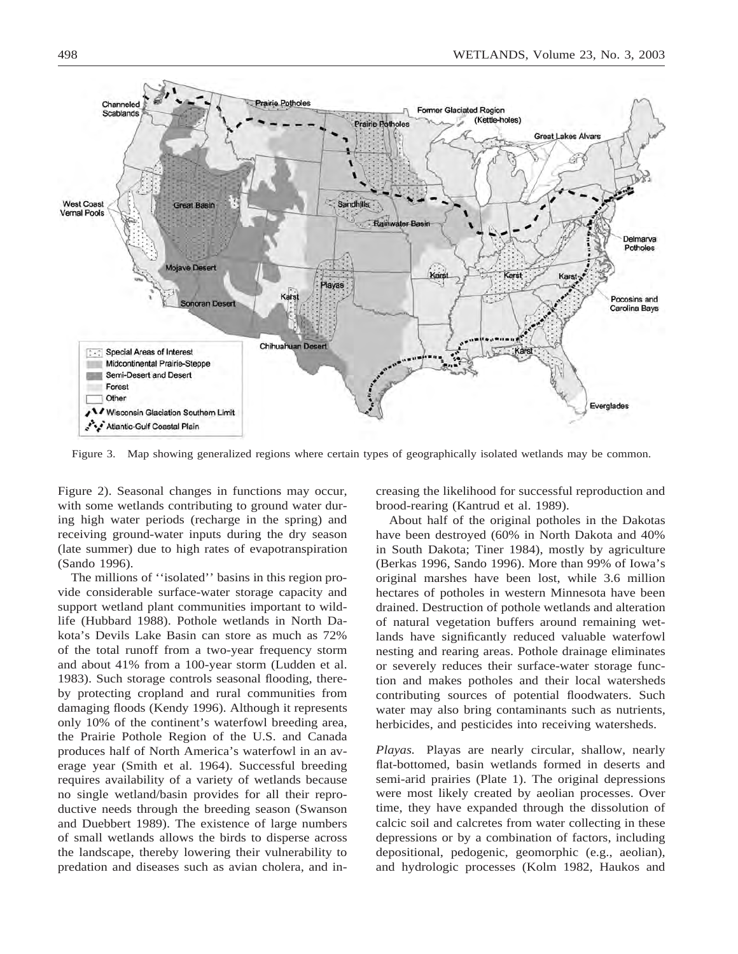

Figure 3. Map showing generalized regions where certain types of geographically isolated wetlands may be common.

Figure 2). Seasonal changes in functions may occur, with some wetlands contributing to ground water during high water periods (recharge in the spring) and receiving ground-water inputs during the dry season (late summer) due to high rates of evapotranspiration (Sando 1996).

The millions of ''isolated'' basins in this region provide considerable surface-water storage capacity and support wetland plant communities important to wildlife (Hubbard 1988). Pothole wetlands in North Dakota's Devils Lake Basin can store as much as 72% of the total runoff from a two-year frequency storm and about 41% from a 100-year storm (Ludden et al. 1983). Such storage controls seasonal flooding, thereby protecting cropland and rural communities from damaging floods (Kendy 1996). Although it represents only 10% of the continent's waterfowl breeding area, the Prairie Pothole Region of the U.S. and Canada produces half of North America's waterfowl in an average year (Smith et al. 1964). Successful breeding requires availability of a variety of wetlands because no single wetland/basin provides for all their reproductive needs through the breeding season (Swanson and Duebbert 1989). The existence of large numbers of small wetlands allows the birds to disperse across the landscape, thereby lowering their vulnerability to predation and diseases such as avian cholera, and increasing the likelihood for successful reproduction and brood-rearing (Kantrud et al. 1989).

About half of the original potholes in the Dakotas have been destroyed (60% in North Dakota and 40% in South Dakota; Tiner 1984), mostly by agriculture (Berkas 1996, Sando 1996). More than 99% of Iowa's original marshes have been lost, while 3.6 million hectares of potholes in western Minnesota have been drained. Destruction of pothole wetlands and alteration of natural vegetation buffers around remaining wetlands have significantly reduced valuable waterfowl nesting and rearing areas. Pothole drainage eliminates or severely reduces their surface-water storage function and makes potholes and their local watersheds contributing sources of potential floodwaters. Such water may also bring contaminants such as nutrients, herbicides, and pesticides into receiving watersheds.

*Playas.* Playas are nearly circular, shallow, nearly flat-bottomed, basin wetlands formed in deserts and semi-arid prairies (Plate 1). The original depressions were most likely created by aeolian processes. Over time, they have expanded through the dissolution of calcic soil and calcretes from water collecting in these depressions or by a combination of factors, including depositional, pedogenic, geomorphic (e.g., aeolian), and hydrologic processes (Kolm 1982, Haukos and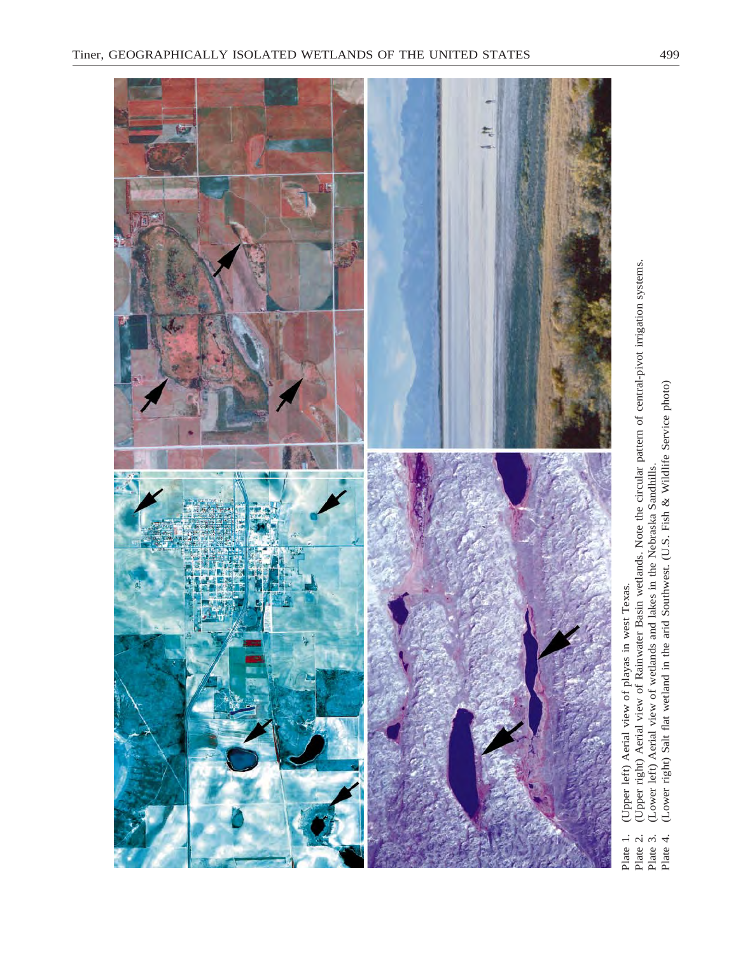

- (Upper left) Aerial view of playas in west Texas.
- (Upper right) Aerial view of Rainwater Basin wetlands. Note the circular pattern of central-pivot irrigation systems.<br>(Lower left) Aerial view of wetlands and lakes in the Nebraska Sandhills.<br>(Lower right) Salt flat wetlan Plate 1. (Upper left) Aerial view of playas in west Texas.<br>Plate 2. (Upper right) Aerial view of Rainwater Basin wetlands. Note the circular pattern of central-pivot irrigation systems.<br>Plate 3. (Lower left) Aerial view of Plate 1.<br>Plate 2.<br>Plate 3.<br>Plate 4.
	- Plate 2
-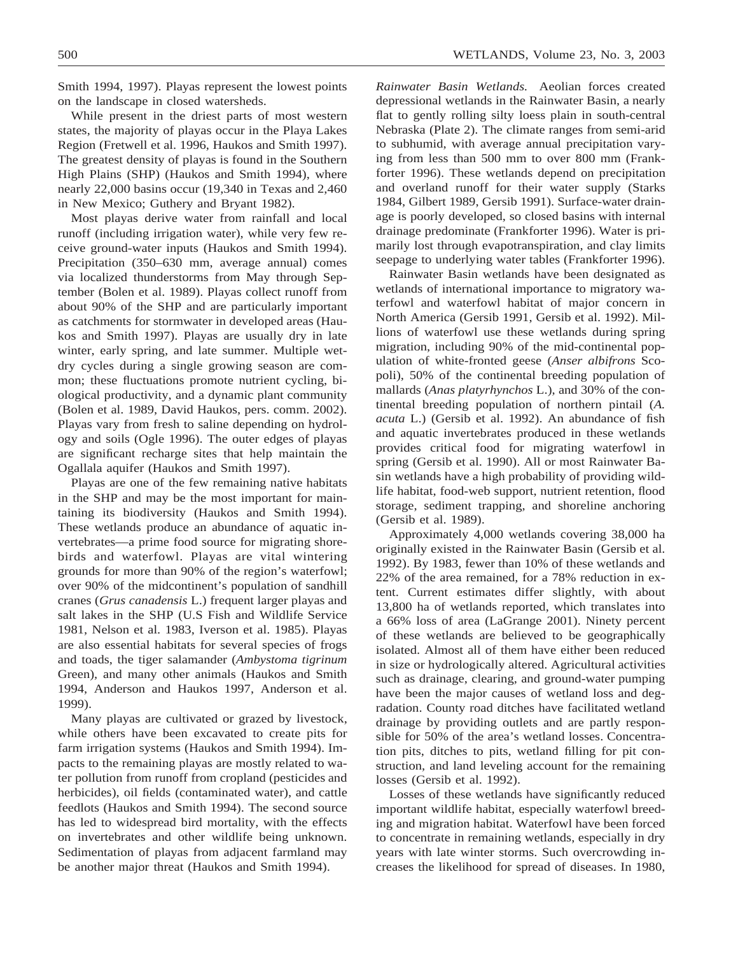Smith 1994, 1997). Playas represent the lowest points on the landscape in closed watersheds.

While present in the driest parts of most western states, the majority of playas occur in the Playa Lakes Region (Fretwell et al. 1996, Haukos and Smith 1997). The greatest density of playas is found in the Southern High Plains (SHP) (Haukos and Smith 1994), where nearly 22,000 basins occur (19,340 in Texas and 2,460 in New Mexico; Guthery and Bryant 1982).

Most playas derive water from rainfall and local runoff (including irrigation water), while very few receive ground-water inputs (Haukos and Smith 1994). Precipitation (350–630 mm, average annual) comes via localized thunderstorms from May through September (Bolen et al. 1989). Playas collect runoff from about 90% of the SHP and are particularly important as catchments for stormwater in developed areas (Haukos and Smith 1997). Playas are usually dry in late winter, early spring, and late summer. Multiple wetdry cycles during a single growing season are common; these fluctuations promote nutrient cycling, biological productivity, and a dynamic plant community (Bolen et al. 1989, David Haukos, pers. comm. 2002). Playas vary from fresh to saline depending on hydrology and soils (Ogle 1996). The outer edges of playas are significant recharge sites that help maintain the Ogallala aquifer (Haukos and Smith 1997).

Playas are one of the few remaining native habitats in the SHP and may be the most important for maintaining its biodiversity (Haukos and Smith 1994). These wetlands produce an abundance of aquatic invertebrates—a prime food source for migrating shorebirds and waterfowl. Playas are vital wintering grounds for more than 90% of the region's waterfowl; over 90% of the midcontinent's population of sandhill cranes (*Grus canadensis* L.) frequent larger playas and salt lakes in the SHP (U.S Fish and Wildlife Service 1981, Nelson et al. 1983, Iverson et al. 1985). Playas are also essential habitats for several species of frogs and toads, the tiger salamander (*Ambystoma tigrinum* Green), and many other animals (Haukos and Smith 1994, Anderson and Haukos 1997, Anderson et al. 1999).

Many playas are cultivated or grazed by livestock, while others have been excavated to create pits for farm irrigation systems (Haukos and Smith 1994). Impacts to the remaining playas are mostly related to water pollution from runoff from cropland (pesticides and herbicides), oil fields (contaminated water), and cattle feedlots (Haukos and Smith 1994). The second source has led to widespread bird mortality, with the effects on invertebrates and other wildlife being unknown. Sedimentation of playas from adjacent farmland may be another major threat (Haukos and Smith 1994).

*Rainwater Basin Wetlands.* Aeolian forces created depressional wetlands in the Rainwater Basin, a nearly flat to gently rolling silty loess plain in south-central Nebraska (Plate 2). The climate ranges from semi-arid to subhumid, with average annual precipitation varying from less than 500 mm to over 800 mm (Frankforter 1996). These wetlands depend on precipitation and overland runoff for their water supply (Starks 1984, Gilbert 1989, Gersib 1991). Surface-water drainage is poorly developed, so closed basins with internal drainage predominate (Frankforter 1996). Water is primarily lost through evapotranspiration, and clay limits seepage to underlying water tables (Frankforter 1996).

Rainwater Basin wetlands have been designated as wetlands of international importance to migratory waterfowl and waterfowl habitat of major concern in North America (Gersib 1991, Gersib et al. 1992). Millions of waterfowl use these wetlands during spring migration, including 90% of the mid-continental population of white-fronted geese (*Anser albifrons* Scopoli), 50% of the continental breeding population of mallards (*Anas platyrhynchos* L.), and 30% of the continental breeding population of northern pintail (*A. acuta* L.) (Gersib et al. 1992). An abundance of fish and aquatic invertebrates produced in these wetlands provides critical food for migrating waterfowl in spring (Gersib et al. 1990). All or most Rainwater Basin wetlands have a high probability of providing wildlife habitat, food-web support, nutrient retention, flood storage, sediment trapping, and shoreline anchoring (Gersib et al. 1989).

Approximately 4,000 wetlands covering 38,000 ha originally existed in the Rainwater Basin (Gersib et al. 1992). By 1983, fewer than 10% of these wetlands and 22% of the area remained, for a 78% reduction in extent. Current estimates differ slightly, with about 13,800 ha of wetlands reported, which translates into a 66% loss of area (LaGrange 2001). Ninety percent of these wetlands are believed to be geographically isolated. Almost all of them have either been reduced in size or hydrologically altered. Agricultural activities such as drainage, clearing, and ground-water pumping have been the major causes of wetland loss and degradation. County road ditches have facilitated wetland drainage by providing outlets and are partly responsible for 50% of the area's wetland losses. Concentration pits, ditches to pits, wetland filling for pit construction, and land leveling account for the remaining losses (Gersib et al. 1992).

Losses of these wetlands have significantly reduced important wildlife habitat, especially waterfowl breeding and migration habitat. Waterfowl have been forced to concentrate in remaining wetlands, especially in dry years with late winter storms. Such overcrowding increases the likelihood for spread of diseases. In 1980,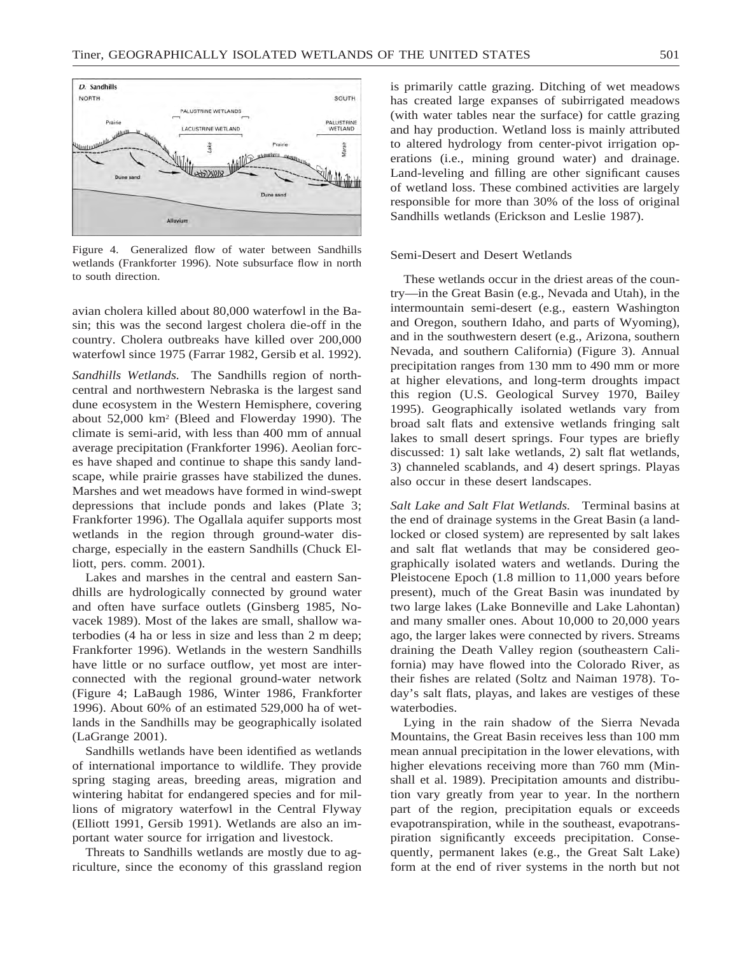

Figure 4. Generalized flow of water between Sandhills wetlands (Frankforter 1996). Note subsurface flow in north to south direction.

avian cholera killed about 80,000 waterfowl in the Basin; this was the second largest cholera die-off in the country. Cholera outbreaks have killed over 200,000 waterfowl since 1975 (Farrar 1982, Gersib et al. 1992).

*Sandhills Wetlands.* The Sandhills region of northcentral and northwestern Nebraska is the largest sand dune ecosystem in the Western Hemisphere, covering about 52,000 km2 (Bleed and Flowerday 1990). The climate is semi-arid, with less than 400 mm of annual average precipitation (Frankforter 1996). Aeolian forces have shaped and continue to shape this sandy landscape, while prairie grasses have stabilized the dunes. Marshes and wet meadows have formed in wind-swept depressions that include ponds and lakes (Plate 3; Frankforter 1996). The Ogallala aquifer supports most wetlands in the region through ground-water discharge, especially in the eastern Sandhills (Chuck Elliott, pers. comm. 2001).

Lakes and marshes in the central and eastern Sandhills are hydrologically connected by ground water and often have surface outlets (Ginsberg 1985, Novacek 1989). Most of the lakes are small, shallow waterbodies (4 ha or less in size and less than 2 m deep; Frankforter 1996). Wetlands in the western Sandhills have little or no surface outflow, yet most are interconnected with the regional ground-water network (Figure 4; LaBaugh 1986, Winter 1986, Frankforter 1996). About 60% of an estimated 529,000 ha of wetlands in the Sandhills may be geographically isolated (LaGrange 2001).

Sandhills wetlands have been identified as wetlands of international importance to wildlife. They provide spring staging areas, breeding areas, migration and wintering habitat for endangered species and for millions of migratory waterfowl in the Central Flyway (Elliott 1991, Gersib 1991). Wetlands are also an important water source for irrigation and livestock.

Threats to Sandhills wetlands are mostly due to agriculture, since the economy of this grassland region

is primarily cattle grazing. Ditching of wet meadows has created large expanses of subirrigated meadows (with water tables near the surface) for cattle grazing and hay production. Wetland loss is mainly attributed to altered hydrology from center-pivot irrigation operations (i.e., mining ground water) and drainage. Land-leveling and filling are other significant causes of wetland loss. These combined activities are largely responsible for more than 30% of the loss of original Sandhills wetlands (Erickson and Leslie 1987).

#### Semi-Desert and Desert Wetlands

These wetlands occur in the driest areas of the country—in the Great Basin (e.g., Nevada and Utah), in the intermountain semi-desert (e.g., eastern Washington and Oregon, southern Idaho, and parts of Wyoming), and in the southwestern desert (e.g., Arizona, southern Nevada, and southern California) (Figure 3). Annual precipitation ranges from 130 mm to 490 mm or more at higher elevations, and long-term droughts impact this region (U.S. Geological Survey 1970, Bailey 1995). Geographically isolated wetlands vary from broad salt flats and extensive wetlands fringing salt lakes to small desert springs. Four types are briefly discussed: 1) salt lake wetlands, 2) salt flat wetlands, 3) channeled scablands, and 4) desert springs. Playas also occur in these desert landscapes.

*Salt Lake and Salt Flat Wetlands.* Terminal basins at the end of drainage systems in the Great Basin (a landlocked or closed system) are represented by salt lakes and salt flat wetlands that may be considered geographically isolated waters and wetlands. During the Pleistocene Epoch (1.8 million to 11,000 years before present), much of the Great Basin was inundated by two large lakes (Lake Bonneville and Lake Lahontan) and many smaller ones. About 10,000 to 20,000 years ago, the larger lakes were connected by rivers. Streams draining the Death Valley region (southeastern California) may have flowed into the Colorado River, as their fishes are related (Soltz and Naiman 1978). Today's salt flats, playas, and lakes are vestiges of these waterbodies.

Lying in the rain shadow of the Sierra Nevada Mountains, the Great Basin receives less than 100 mm mean annual precipitation in the lower elevations, with higher elevations receiving more than 760 mm (Minshall et al. 1989). Precipitation amounts and distribution vary greatly from year to year. In the northern part of the region, precipitation equals or exceeds evapotranspiration, while in the southeast, evapotranspiration significantly exceeds precipitation. Consequently, permanent lakes (e.g., the Great Salt Lake) form at the end of river systems in the north but not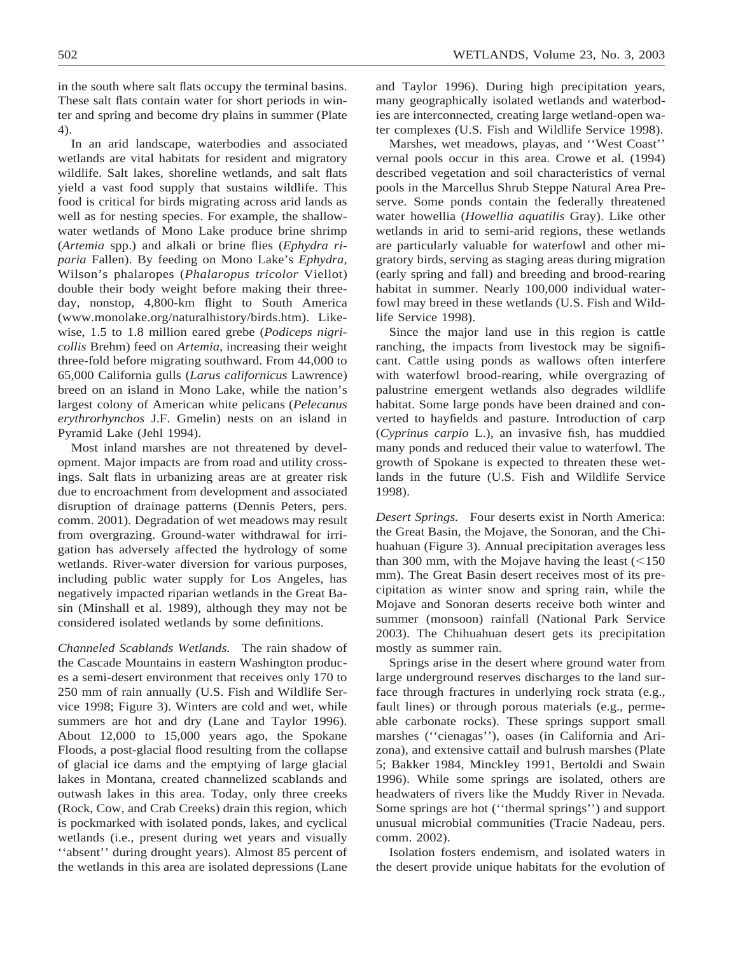in the south where salt flats occupy the terminal basins. These salt flats contain water for short periods in winter and spring and become dry plains in summer (Plate 4).

In an arid landscape, waterbodies and associated wetlands are vital habitats for resident and migratory wildlife. Salt lakes, shoreline wetlands, and salt flats yield a vast food supply that sustains wildlife. This food is critical for birds migrating across arid lands as well as for nesting species. For example, the shallowwater wetlands of Mono Lake produce brine shrimp (*Artemia* spp.) and alkali or brine flies (*Ephydra riparia* Fallen). By feeding on Mono Lake's *Ephydra*, Wilson's phalaropes (*Phalaropus tricolor* Viellot) double their body weight before making their threeday, nonstop, 4,800-km flight to South America (www.monolake.org/naturalhistory/birds.htm). Likewise, 1.5 to 1.8 million eared grebe (*Podiceps nigricollis* Brehm) feed on *Artemia*, increasing their weight three-fold before migrating southward. From 44,000 to 65,000 California gulls (*Larus californicus* Lawrence) breed on an island in Mono Lake, while the nation's largest colony of American white pelicans (*Pelecanus erythrorhynchos* J.F. Gmelin) nests on an island in Pyramid Lake (Jehl 1994).

Most inland marshes are not threatened by development. Major impacts are from road and utility crossings. Salt flats in urbanizing areas are at greater risk due to encroachment from development and associated disruption of drainage patterns (Dennis Peters, pers. comm. 2001). Degradation of wet meadows may result from overgrazing. Ground-water withdrawal for irrigation has adversely affected the hydrology of some wetlands. River-water diversion for various purposes, including public water supply for Los Angeles, has negatively impacted riparian wetlands in the Great Basin (Minshall et al. 1989), although they may not be considered isolated wetlands by some definitions.

*Channeled Scablands Wetlands.* The rain shadow of the Cascade Mountains in eastern Washington produces a semi-desert environment that receives only 170 to 250 mm of rain annually (U.S. Fish and Wildlife Service 1998; Figure 3). Winters are cold and wet, while summers are hot and dry (Lane and Taylor 1996). About 12,000 to 15,000 years ago, the Spokane Floods, a post-glacial flood resulting from the collapse of glacial ice dams and the emptying of large glacial lakes in Montana, created channelized scablands and outwash lakes in this area. Today, only three creeks (Rock, Cow, and Crab Creeks) drain this region, which is pockmarked with isolated ponds, lakes, and cyclical wetlands (i.e., present during wet years and visually ''absent'' during drought years). Almost 85 percent of the wetlands in this area are isolated depressions (Lane and Taylor 1996). During high precipitation years, many geographically isolated wetlands and waterbodies are interconnected, creating large wetland-open water complexes (U.S. Fish and Wildlife Service 1998).

Marshes, wet meadows, playas, and ''West Coast'' vernal pools occur in this area. Crowe et al. (1994) described vegetation and soil characteristics of vernal pools in the Marcellus Shrub Steppe Natural Area Preserve. Some ponds contain the federally threatened water howellia (*Howellia aquatilis* Gray). Like other wetlands in arid to semi-arid regions, these wetlands are particularly valuable for waterfowl and other migratory birds, serving as staging areas during migration (early spring and fall) and breeding and brood-rearing habitat in summer. Nearly 100,000 individual waterfowl may breed in these wetlands (U.S. Fish and Wildlife Service 1998).

Since the major land use in this region is cattle ranching, the impacts from livestock may be significant. Cattle using ponds as wallows often interfere with waterfowl brood-rearing, while overgrazing of palustrine emergent wetlands also degrades wildlife habitat. Some large ponds have been drained and converted to hayfields and pasture. Introduction of carp (*Cyprinus carpio* L.), an invasive fish, has muddied many ponds and reduced their value to waterfowl. The growth of Spokane is expected to threaten these wetlands in the future (U.S. Fish and Wildlife Service 1998).

*Desert Springs.* Four deserts exist in North America: the Great Basin, the Mojave, the Sonoran, and the Chihuahuan (Figure 3). Annual precipitation averages less than 300 mm, with the Mojave having the least  $($ mm). The Great Basin desert receives most of its precipitation as winter snow and spring rain, while the Mojave and Sonoran deserts receive both winter and summer (monsoon) rainfall (National Park Service 2003). The Chihuahuan desert gets its precipitation mostly as summer rain.

Springs arise in the desert where ground water from large underground reserves discharges to the land surface through fractures in underlying rock strata (e.g., fault lines) or through porous materials (e.g., permeable carbonate rocks). These springs support small marshes (''cienagas''), oases (in California and Arizona), and extensive cattail and bulrush marshes (Plate 5; Bakker 1984, Minckley 1991, Bertoldi and Swain 1996). While some springs are isolated, others are headwaters of rivers like the Muddy River in Nevada. Some springs are hot (''thermal springs'') and support unusual microbial communities (Tracie Nadeau, pers. comm. 2002).

Isolation fosters endemism, and isolated waters in the desert provide unique habitats for the evolution of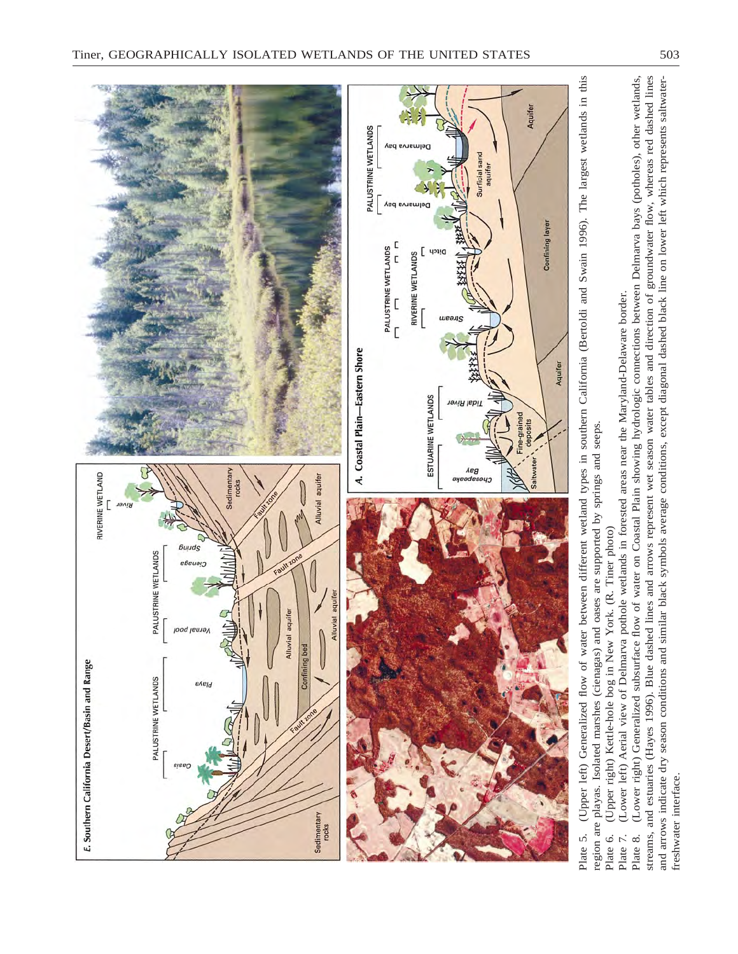

region are playas. Isolated marshes (cienagas) and oases are supported by springs and seeps. (Upper right) Kettle-hole bog in New York. (R. Tiner photo) Plate 5. Plate 6.

(Lower left) Aerial view of Delmarva pothole wetlands in forested areas near the Maryland-Delaware border. Plate 7.

streams, and estuaries (Hayes 1996). Blue dashed lines and arrows represent wet season water tables and direction of groundwater flow, whereas red dashed lines and arrows indicate dry season conditions and similar black symbols average conditions, except diagonal dashed black line on lower left which represents saltwater-(Lower right) Generalized subsurface flow of water on Coastal Plain showing hydrologic connections between Delmarva bays (potholes), other wetlands, Plate 5. (Upper left) Generalized flow of water between different wetland types in southern California (Bertoldi and Swain 1996). The largest wetlands in this<br>region are playas. Isolated marshes (cienagas) and oases are su freshwater interface. Plate 8.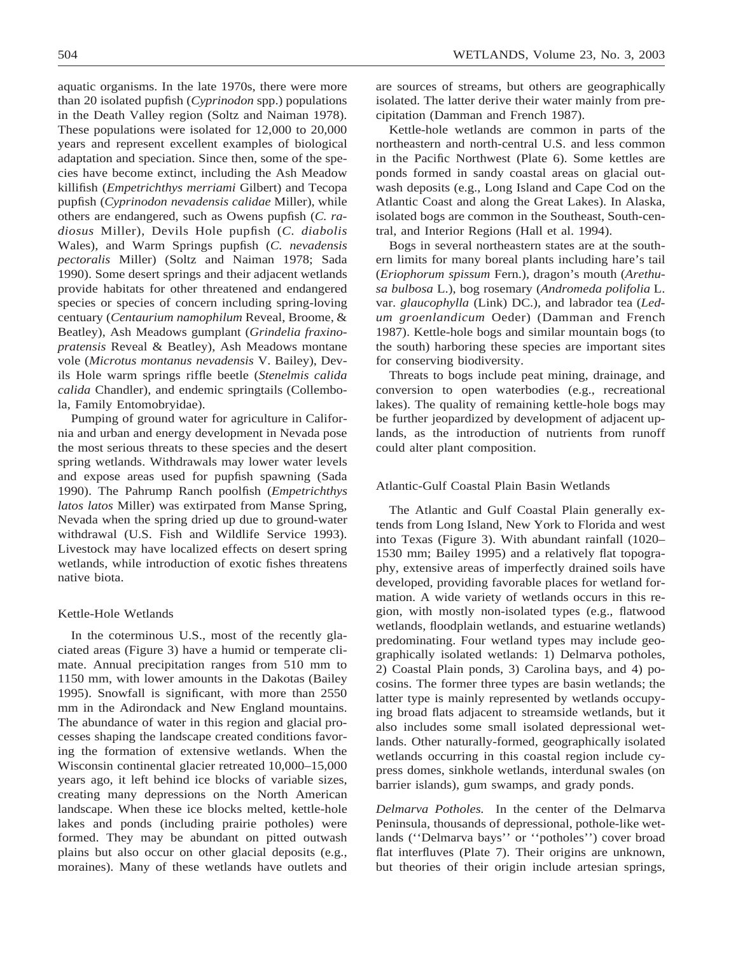aquatic organisms. In the late 1970s, there were more than 20 isolated pupfish (*Cyprinodon* spp.) populations in the Death Valley region (Soltz and Naiman 1978). These populations were isolated for 12,000 to 20,000 years and represent excellent examples of biological adaptation and speciation. Since then, some of the species have become extinct, including the Ash Meadow killifish (*Empetrichthys merriami* Gilbert) and Tecopa pupfish (*Cyprinodon nevadensis calidae* Miller), while others are endangered, such as Owens pupfish (*C. radiosus* Miller), Devils Hole pupfish (*C. diabolis* Wales), and Warm Springs pupfish (*C. nevadensis pectoralis* Miller) (Soltz and Naiman 1978; Sada 1990). Some desert springs and their adjacent wetlands provide habitats for other threatened and endangered species or species of concern including spring-loving centuary (*Centaurium namophilum* Reveal, Broome, & Beatley), Ash Meadows gumplant (*Grindelia fraxinopratensis* Reveal & Beatley), Ash Meadows montane vole (*Microtus montanus nevadensis* V. Bailey), Devils Hole warm springs riffle beetle (*Stenelmis calida calida* Chandler), and endemic springtails (Collembola, Family Entomobryidae).

Pumping of ground water for agriculture in California and urban and energy development in Nevada pose the most serious threats to these species and the desert spring wetlands. Withdrawals may lower water levels and expose areas used for pupfish spawning (Sada 1990). The Pahrump Ranch poolfish (*Empetrichthys latos latos* Miller) was extirpated from Manse Spring, Nevada when the spring dried up due to ground-water withdrawal (U.S. Fish and Wildlife Service 1993). Livestock may have localized effects on desert spring wetlands, while introduction of exotic fishes threatens native biota.

#### Kettle-Hole Wetlands

In the coterminous U.S., most of the recently glaciated areas (Figure 3) have a humid or temperate climate. Annual precipitation ranges from 510 mm to 1150 mm, with lower amounts in the Dakotas (Bailey 1995). Snowfall is significant, with more than 2550 mm in the Adirondack and New England mountains. The abundance of water in this region and glacial processes shaping the landscape created conditions favoring the formation of extensive wetlands. When the Wisconsin continental glacier retreated 10,000–15,000 years ago, it left behind ice blocks of variable sizes, creating many depressions on the North American landscape. When these ice blocks melted, kettle-hole lakes and ponds (including prairie potholes) were formed. They may be abundant on pitted outwash plains but also occur on other glacial deposits (e.g., moraines). Many of these wetlands have outlets and

are sources of streams, but others are geographically isolated. The latter derive their water mainly from precipitation (Damman and French 1987).

Kettle-hole wetlands are common in parts of the northeastern and north-central U.S. and less common in the Pacific Northwest (Plate 6). Some kettles are ponds formed in sandy coastal areas on glacial outwash deposits (e.g., Long Island and Cape Cod on the Atlantic Coast and along the Great Lakes). In Alaska, isolated bogs are common in the Southeast, South-central, and Interior Regions (Hall et al. 1994).

Bogs in several northeastern states are at the southern limits for many boreal plants including hare's tail (*Eriophorum spissum* Fern.), dragon's mouth (*Arethusa bulbosa* L.), bog rosemary (*Andromeda polifolia* L. var. *glaucophylla* (Link) DC.), and labrador tea (*Ledum groenlandicum* Oeder) (Damman and French 1987). Kettle-hole bogs and similar mountain bogs (to the south) harboring these species are important sites for conserving biodiversity.

Threats to bogs include peat mining, drainage, and conversion to open waterbodies (e.g., recreational lakes). The quality of remaining kettle-hole bogs may be further jeopardized by development of adjacent uplands, as the introduction of nutrients from runoff could alter plant composition.

#### Atlantic-Gulf Coastal Plain Basin Wetlands

The Atlantic and Gulf Coastal Plain generally extends from Long Island, New York to Florida and west into Texas (Figure 3). With abundant rainfall (1020– 1530 mm; Bailey 1995) and a relatively flat topography, extensive areas of imperfectly drained soils have developed, providing favorable places for wetland formation. A wide variety of wetlands occurs in this region, with mostly non-isolated types (e.g., flatwood wetlands, floodplain wetlands, and estuarine wetlands) predominating. Four wetland types may include geographically isolated wetlands: 1) Delmarva potholes, 2) Coastal Plain ponds, 3) Carolina bays, and 4) pocosins. The former three types are basin wetlands; the latter type is mainly represented by wetlands occupying broad flats adjacent to streamside wetlands, but it also includes some small isolated depressional wetlands. Other naturally-formed, geographically isolated wetlands occurring in this coastal region include cypress domes, sinkhole wetlands, interdunal swales (on barrier islands), gum swamps, and grady ponds.

*Delmarva Potholes.* In the center of the Delmarva Peninsula, thousands of depressional, pothole-like wetlands (''Delmarva bays'' or ''potholes'') cover broad flat interfluves (Plate 7). Their origins are unknown, but theories of their origin include artesian springs,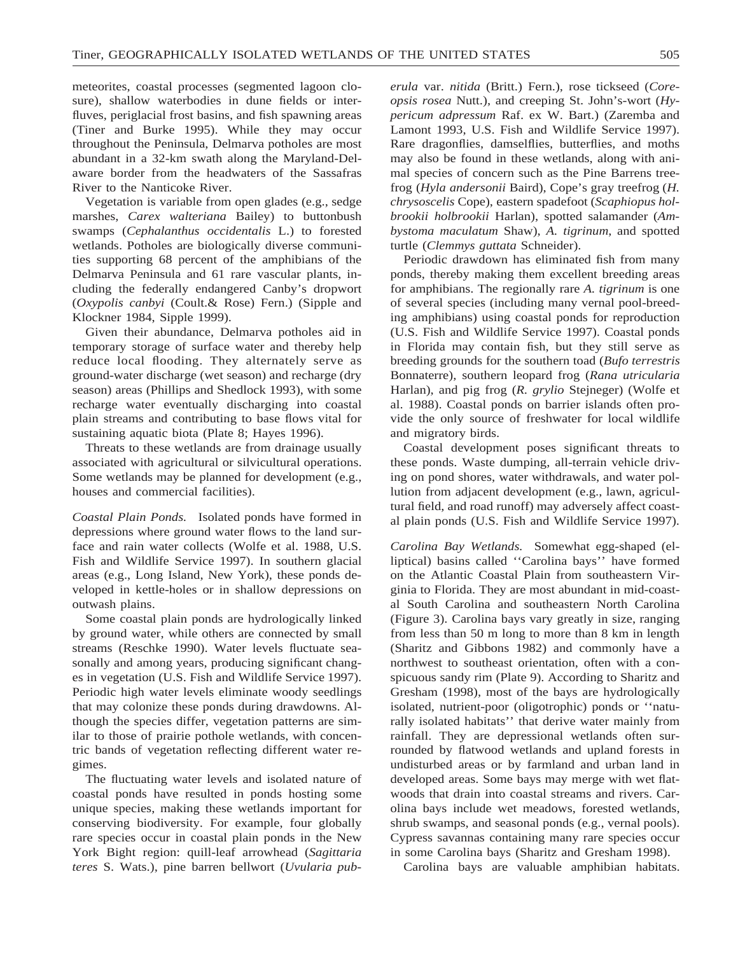meteorites, coastal processes (segmented lagoon closure), shallow waterbodies in dune fields or interfluves, periglacial frost basins, and fish spawning areas (Tiner and Burke 1995). While they may occur throughout the Peninsula, Delmarva potholes are most abundant in a 32-km swath along the Maryland-Delaware border from the headwaters of the Sassafras River to the Nanticoke River.

Vegetation is variable from open glades (e.g., sedge marshes, *Carex walteriana* Bailey) to buttonbush swamps (*Cephalanthus occidentalis* L.) to forested wetlands. Potholes are biologically diverse communities supporting 68 percent of the amphibians of the Delmarva Peninsula and 61 rare vascular plants, including the federally endangered Canby's dropwort (*Oxypolis canbyi* (Coult.& Rose) Fern.) (Sipple and Klockner 1984, Sipple 1999).

Given their abundance, Delmarva potholes aid in temporary storage of surface water and thereby help reduce local flooding. They alternately serve as ground-water discharge (wet season) and recharge (dry season) areas (Phillips and Shedlock 1993), with some recharge water eventually discharging into coastal plain streams and contributing to base flows vital for sustaining aquatic biota (Plate 8; Hayes 1996).

Threats to these wetlands are from drainage usually associated with agricultural or silvicultural operations. Some wetlands may be planned for development (e.g., houses and commercial facilities).

*Coastal Plain Ponds.* Isolated ponds have formed in depressions where ground water flows to the land surface and rain water collects (Wolfe et al. 1988, U.S. Fish and Wildlife Service 1997). In southern glacial areas (e.g., Long Island, New York), these ponds developed in kettle-holes or in shallow depressions on outwash plains.

Some coastal plain ponds are hydrologically linked by ground water, while others are connected by small streams (Reschke 1990). Water levels fluctuate seasonally and among years, producing significant changes in vegetation (U.S. Fish and Wildlife Service 1997). Periodic high water levels eliminate woody seedlings that may colonize these ponds during drawdowns. Although the species differ, vegetation patterns are similar to those of prairie pothole wetlands, with concentric bands of vegetation reflecting different water regimes.

The fluctuating water levels and isolated nature of coastal ponds have resulted in ponds hosting some unique species, making these wetlands important for conserving biodiversity. For example, four globally rare species occur in coastal plain ponds in the New York Bight region: quill-leaf arrowhead (*Sagittaria teres* S. Wats.), pine barren bellwort (*Uvularia pub-* *erula* var. *nitida* (Britt.) Fern.), rose tickseed (*Coreopsis rosea* Nutt.), and creeping St. John's-wort (*Hypericum adpressum* Raf. ex W. Bart.) (Zaremba and Lamont 1993, U.S. Fish and Wildlife Service 1997). Rare dragonflies, damselflies, butterflies, and moths may also be found in these wetlands, along with animal species of concern such as the Pine Barrens treefrog (*Hyla andersonii* Baird), Cope's gray treefrog (*H. chrysoscelis* Cope), eastern spadefoot (*Scaphiopus holbrookii holbrookii* Harlan), spotted salamander (*Ambystoma maculatum* Shaw), *A. tigrinum*, and spotted turtle (*Clemmys guttata* Schneider).

Periodic drawdown has eliminated fish from many ponds, thereby making them excellent breeding areas for amphibians. The regionally rare *A. tigrinum* is one of several species (including many vernal pool-breeding amphibians) using coastal ponds for reproduction (U.S. Fish and Wildlife Service 1997). Coastal ponds in Florida may contain fish, but they still serve as breeding grounds for the southern toad (*Bufo terrestris* Bonnaterre), southern leopard frog (*Rana utricularia* Harlan), and pig frog (*R. grylio* Stejneger) (Wolfe et al. 1988). Coastal ponds on barrier islands often provide the only source of freshwater for local wildlife and migratory birds.

Coastal development poses significant threats to these ponds. Waste dumping, all-terrain vehicle driving on pond shores, water withdrawals, and water pollution from adjacent development (e.g., lawn, agricultural field, and road runoff) may adversely affect coastal plain ponds (U.S. Fish and Wildlife Service 1997).

*Carolina Bay Wetlands.* Somewhat egg-shaped (elliptical) basins called ''Carolina bays'' have formed on the Atlantic Coastal Plain from southeastern Virginia to Florida. They are most abundant in mid-coastal South Carolina and southeastern North Carolina (Figure 3). Carolina bays vary greatly in size, ranging from less than 50 m long to more than 8 km in length (Sharitz and Gibbons 1982) and commonly have a northwest to southeast orientation, often with a conspicuous sandy rim (Plate 9). According to Sharitz and Gresham (1998), most of the bays are hydrologically isolated, nutrient-poor (oligotrophic) ponds or ''naturally isolated habitats'' that derive water mainly from rainfall. They are depressional wetlands often surrounded by flatwood wetlands and upland forests in undisturbed areas or by farmland and urban land in developed areas. Some bays may merge with wet flatwoods that drain into coastal streams and rivers. Carolina bays include wet meadows, forested wetlands, shrub swamps, and seasonal ponds (e.g., vernal pools). Cypress savannas containing many rare species occur in some Carolina bays (Sharitz and Gresham 1998).

Carolina bays are valuable amphibian habitats.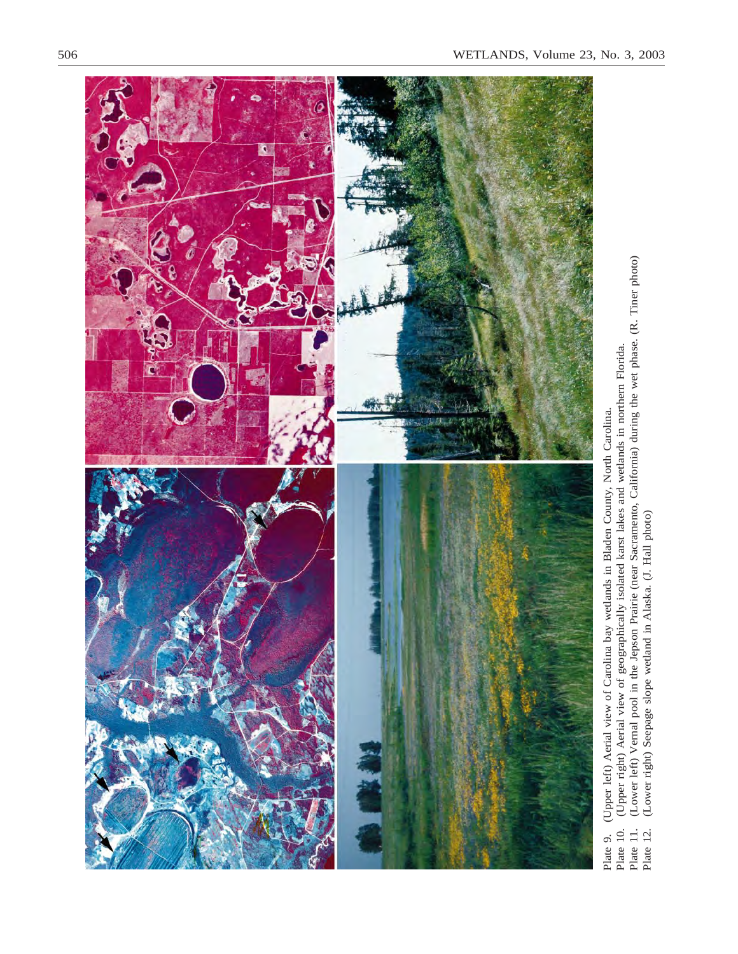

- Plate 9.
- 
- (Upper left) Aerial view of Carolina bay wetlands in Bladen County, North Carolina.<br>(Upper right) Aerial view of geographically isolated karst lakes and wetlands in northern Florida.<br>(Lower left) Vernal pool in the Jepson Plate 9. (Upper left) Aerial view of Carolina bay wetlands in Bladen County, North Carolina.<br>Plate 10. (Upper right) Aerial view of geographically isolated karst lakes and wetlands in northern Florida.<br>Plate 11. (Lower lef Plate 10.<br>Plate 11.<br>Plate 12.
	-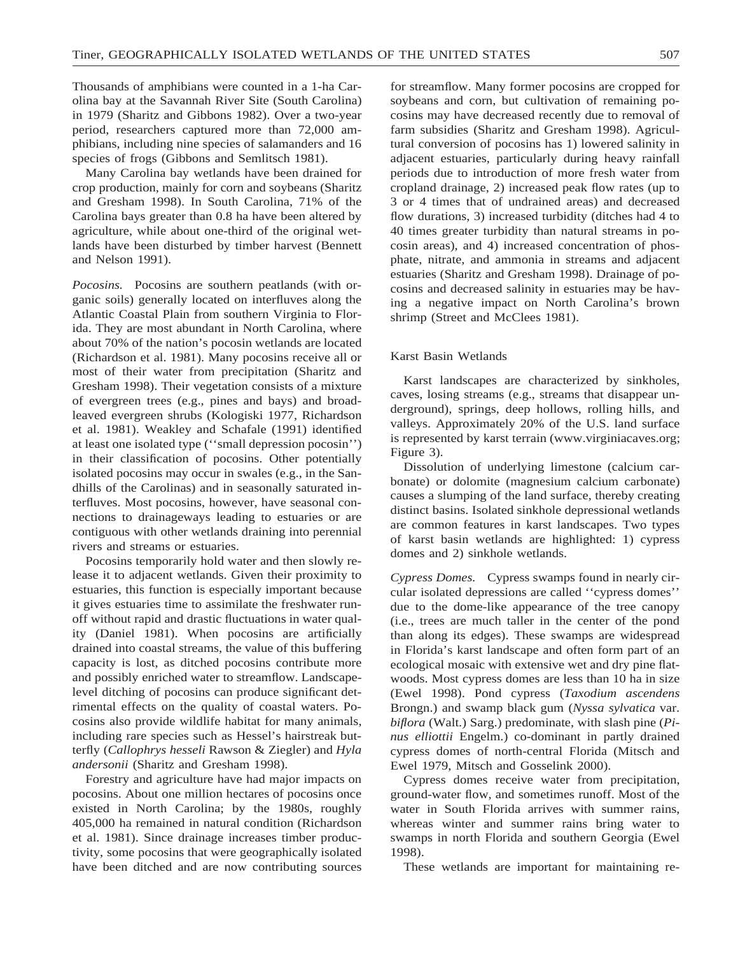Thousands of amphibians were counted in a 1-ha Carolina bay at the Savannah River Site (South Carolina) in 1979 (Sharitz and Gibbons 1982). Over a two-year period, researchers captured more than 72,000 amphibians, including nine species of salamanders and 16 species of frogs (Gibbons and Semlitsch 1981).

Many Carolina bay wetlands have been drained for crop production, mainly for corn and soybeans (Sharitz and Gresham 1998). In South Carolina, 71% of the Carolina bays greater than 0.8 ha have been altered by agriculture, while about one-third of the original wetlands have been disturbed by timber harvest (Bennett and Nelson 1991).

*Pocosins.* Pocosins are southern peatlands (with organic soils) generally located on interfluves along the Atlantic Coastal Plain from southern Virginia to Florida. They are most abundant in North Carolina, where about 70% of the nation's pocosin wetlands are located (Richardson et al. 1981). Many pocosins receive all or most of their water from precipitation (Sharitz and Gresham 1998). Their vegetation consists of a mixture of evergreen trees (e.g., pines and bays) and broadleaved evergreen shrubs (Kologiski 1977, Richardson et al. 1981). Weakley and Schafale (1991) identified at least one isolated type (''small depression pocosin'') in their classification of pocosins. Other potentially isolated pocosins may occur in swales (e.g., in the Sandhills of the Carolinas) and in seasonally saturated interfluves. Most pocosins, however, have seasonal connections to drainageways leading to estuaries or are contiguous with other wetlands draining into perennial rivers and streams or estuaries.

Pocosins temporarily hold water and then slowly release it to adjacent wetlands. Given their proximity to estuaries, this function is especially important because it gives estuaries time to assimilate the freshwater runoff without rapid and drastic fluctuations in water quality (Daniel 1981). When pocosins are artificially drained into coastal streams, the value of this buffering capacity is lost, as ditched pocosins contribute more and possibly enriched water to streamflow. Landscapelevel ditching of pocosins can produce significant detrimental effects on the quality of coastal waters. Pocosins also provide wildlife habitat for many animals, including rare species such as Hessel's hairstreak butterfly (*Callophrys hesseli* Rawson & Ziegler) and *Hyla andersonii* (Sharitz and Gresham 1998).

Forestry and agriculture have had major impacts on pocosins. About one million hectares of pocosins once existed in North Carolina; by the 1980s, roughly 405,000 ha remained in natural condition (Richardson et al. 1981). Since drainage increases timber productivity, some pocosins that were geographically isolated have been ditched and are now contributing sources

for streamflow. Many former pocosins are cropped for soybeans and corn, but cultivation of remaining pocosins may have decreased recently due to removal of farm subsidies (Sharitz and Gresham 1998). Agricultural conversion of pocosins has 1) lowered salinity in adjacent estuaries, particularly during heavy rainfall periods due to introduction of more fresh water from cropland drainage, 2) increased peak flow rates (up to 3 or 4 times that of undrained areas) and decreased flow durations, 3) increased turbidity (ditches had 4 to 40 times greater turbidity than natural streams in pocosin areas), and 4) increased concentration of phosphate, nitrate, and ammonia in streams and adjacent estuaries (Sharitz and Gresham 1998). Drainage of pocosins and decreased salinity in estuaries may be having a negative impact on North Carolina's brown shrimp (Street and McClees 1981).

#### Karst Basin Wetlands

Karst landscapes are characterized by sinkholes, caves, losing streams (e.g., streams that disappear underground), springs, deep hollows, rolling hills, and valleys. Approximately 20% of the U.S. land surface is represented by karst terrain (www.virginiacaves.org; Figure 3).

Dissolution of underlying limestone (calcium carbonate) or dolomite (magnesium calcium carbonate) causes a slumping of the land surface, thereby creating distinct basins. Isolated sinkhole depressional wetlands are common features in karst landscapes. Two types of karst basin wetlands are highlighted: 1) cypress domes and 2) sinkhole wetlands.

*Cypress Domes.* Cypress swamps found in nearly circular isolated depressions are called ''cypress domes'' due to the dome-like appearance of the tree canopy (i.e., trees are much taller in the center of the pond than along its edges). These swamps are widespread in Florida's karst landscape and often form part of an ecological mosaic with extensive wet and dry pine flatwoods. Most cypress domes are less than 10 ha in size (Ewel 1998). Pond cypress (*Taxodium ascendens* Brongn.) and swamp black gum (*Nyssa sylvatica* var. *biflora* (Walt.) Sarg.) predominate, with slash pine (*Pinus elliottii* Engelm.) co-dominant in partly drained cypress domes of north-central Florida (Mitsch and Ewel 1979, Mitsch and Gosselink 2000).

Cypress domes receive water from precipitation, ground-water flow, and sometimes runoff. Most of the water in South Florida arrives with summer rains, whereas winter and summer rains bring water to swamps in north Florida and southern Georgia (Ewel 1998).

These wetlands are important for maintaining re-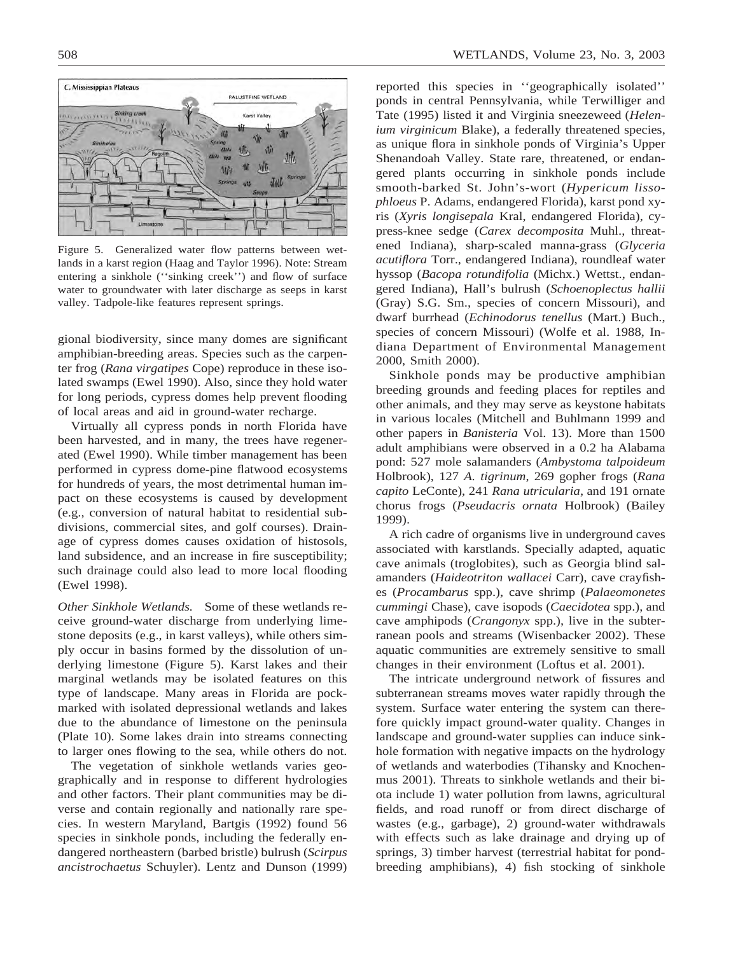

Figure 5. Generalized water flow patterns between wetlands in a karst region (Haag and Taylor 1996). Note: Stream entering a sinkhole (''sinking creek'') and flow of surface water to groundwater with later discharge as seeps in karst valley. Tadpole-like features represent springs.

gional biodiversity, since many domes are significant amphibian-breeding areas. Species such as the carpenter frog (*Rana virgatipes* Cope) reproduce in these isolated swamps (Ewel 1990). Also, since they hold water for long periods, cypress domes help prevent flooding of local areas and aid in ground-water recharge.

Virtually all cypress ponds in north Florida have been harvested, and in many, the trees have regenerated (Ewel 1990). While timber management has been performed in cypress dome-pine flatwood ecosystems for hundreds of years, the most detrimental human impact on these ecosystems is caused by development (e.g., conversion of natural habitat to residential subdivisions, commercial sites, and golf courses). Drainage of cypress domes causes oxidation of histosols, land subsidence, and an increase in fire susceptibility; such drainage could also lead to more local flooding (Ewel 1998).

*Other Sinkhole Wetlands.* Some of these wetlands receive ground-water discharge from underlying limestone deposits (e.g., in karst valleys), while others simply occur in basins formed by the dissolution of underlying limestone (Figure 5). Karst lakes and their marginal wetlands may be isolated features on this type of landscape. Many areas in Florida are pockmarked with isolated depressional wetlands and lakes due to the abundance of limestone on the peninsula (Plate 10). Some lakes drain into streams connecting to larger ones flowing to the sea, while others do not.

The vegetation of sinkhole wetlands varies geographically and in response to different hydrologies and other factors. Their plant communities may be diverse and contain regionally and nationally rare species. In western Maryland, Bartgis (1992) found 56 species in sinkhole ponds, including the federally endangered northeastern (barbed bristle) bulrush (*Scirpus ancistrochaetus* Schuyler). Lentz and Dunson (1999) reported this species in ''geographically isolated'' ponds in central Pennsylvania, while Terwilliger and Tate (1995) listed it and Virginia sneezeweed (*Helenium virginicum* Blake), a federally threatened species, as unique flora in sinkhole ponds of Virginia's Upper Shenandoah Valley. State rare, threatened, or endangered plants occurring in sinkhole ponds include smooth-barked St. John's-wort (*Hypericum lissophloeus* P. Adams, endangered Florida), karst pond xyris (*Xyris longisepala* Kral, endangered Florida), cypress-knee sedge (*Carex decomposita* Muhl., threatened Indiana), sharp-scaled manna-grass (*Glyceria acutiflora* Torr., endangered Indiana), roundleaf water hyssop (*Bacopa rotundifolia* (Michx.) Wettst., endangered Indiana), Hall's bulrush (*Schoenoplectus hallii* (Gray) S.G. Sm., species of concern Missouri), and dwarf burrhead (*Echinodorus tenellus* (Mart.) Buch., species of concern Missouri) (Wolfe et al. 1988, Indiana Department of Environmental Management 2000, Smith 2000).

Sinkhole ponds may be productive amphibian breeding grounds and feeding places for reptiles and other animals, and they may serve as keystone habitats in various locales (Mitchell and Buhlmann 1999 and other papers in *Banisteria* Vol. 13). More than 1500 adult amphibians were observed in a 0.2 ha Alabama pond: 527 mole salamanders (*Ambystoma talpoideum* Holbrook), 127 *A. tigrinum*, 269 gopher frogs (*Rana capito* LeConte), 241 *Rana utricularia*, and 191 ornate chorus frogs (*Pseudacris ornata* Holbrook) (Bailey 1999).

A rich cadre of organisms live in underground caves associated with karstlands. Specially adapted, aquatic cave animals (troglobites), such as Georgia blind salamanders (*Haideotriton wallacei* Carr), cave crayfishes (*Procambarus* spp.), cave shrimp (*Palaeomonetes cummingi* Chase), cave isopods (*Caecidotea* spp.), and cave amphipods (*Crangonyx* spp.), live in the subterranean pools and streams (Wisenbacker 2002). These aquatic communities are extremely sensitive to small changes in their environment (Loftus et al. 2001).

The intricate underground network of fissures and subterranean streams moves water rapidly through the system. Surface water entering the system can therefore quickly impact ground-water quality. Changes in landscape and ground-water supplies can induce sinkhole formation with negative impacts on the hydrology of wetlands and waterbodies (Tihansky and Knochenmus 2001). Threats to sinkhole wetlands and their biota include 1) water pollution from lawns, agricultural fields, and road runoff or from direct discharge of wastes (e.g., garbage), 2) ground-water withdrawals with effects such as lake drainage and drying up of springs, 3) timber harvest (terrestrial habitat for pondbreeding amphibians), 4) fish stocking of sinkhole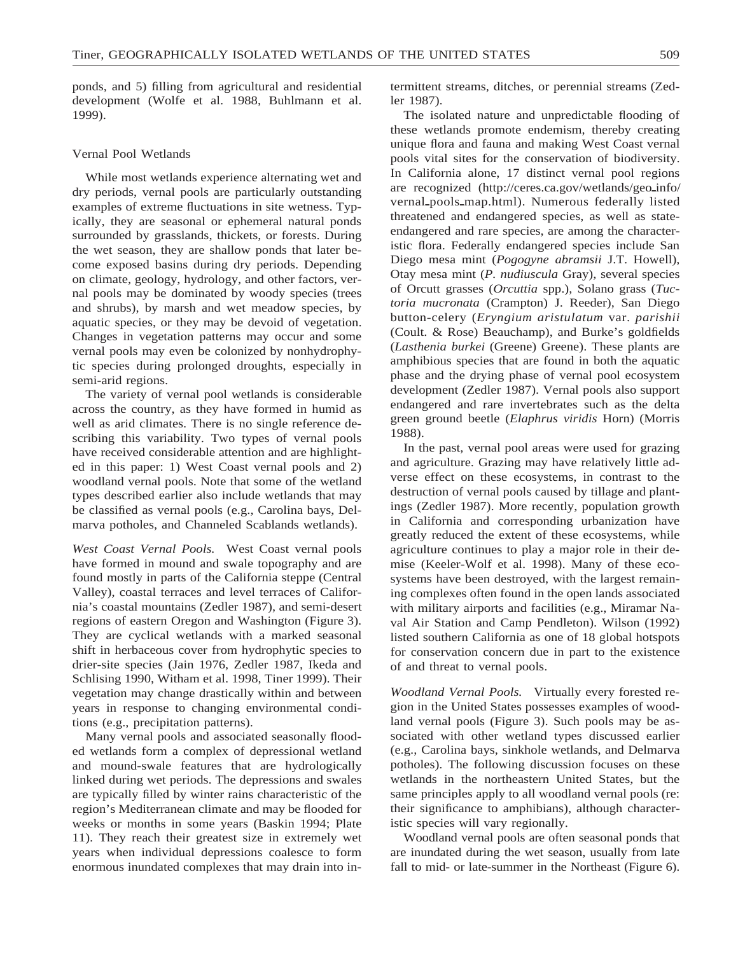ponds, and 5) filling from agricultural and residential development (Wolfe et al. 1988, Buhlmann et al. 1999).

#### Vernal Pool Wetlands

While most wetlands experience alternating wet and dry periods, vernal pools are particularly outstanding examples of extreme fluctuations in site wetness. Typically, they are seasonal or ephemeral natural ponds surrounded by grasslands, thickets, or forests. During the wet season, they are shallow ponds that later become exposed basins during dry periods. Depending on climate, geology, hydrology, and other factors, vernal pools may be dominated by woody species (trees and shrubs), by marsh and wet meadow species, by aquatic species, or they may be devoid of vegetation. Changes in vegetation patterns may occur and some vernal pools may even be colonized by nonhydrophytic species during prolonged droughts, especially in semi-arid regions.

The variety of vernal pool wetlands is considerable across the country, as they have formed in humid as well as arid climates. There is no single reference describing this variability. Two types of vernal pools have received considerable attention and are highlighted in this paper: 1) West Coast vernal pools and 2) woodland vernal pools. Note that some of the wetland types described earlier also include wetlands that may be classified as vernal pools (e.g., Carolina bays, Delmarva potholes, and Channeled Scablands wetlands).

*West Coast Vernal Pools.* West Coast vernal pools have formed in mound and swale topography and are found mostly in parts of the California steppe (Central Valley), coastal terraces and level terraces of California's coastal mountains (Zedler 1987), and semi-desert regions of eastern Oregon and Washington (Figure 3). They are cyclical wetlands with a marked seasonal shift in herbaceous cover from hydrophytic species to drier-site species (Jain 1976, Zedler 1987, Ikeda and Schlising 1990, Witham et al. 1998, Tiner 1999). Their vegetation may change drastically within and between years in response to changing environmental conditions (e.g., precipitation patterns).

Many vernal pools and associated seasonally flooded wetlands form a complex of depressional wetland and mound-swale features that are hydrologically linked during wet periods. The depressions and swales are typically filled by winter rains characteristic of the region's Mediterranean climate and may be flooded for weeks or months in some years (Baskin 1994; Plate 11). They reach their greatest size in extremely wet years when individual depressions coalesce to form enormous inundated complexes that may drain into in-

termittent streams, ditches, or perennial streams (Zedler 1987).

The isolated nature and unpredictable flooding of these wetlands promote endemism, thereby creating unique flora and fauna and making West Coast vernal pools vital sites for the conservation of biodiversity. In California alone, 17 distinct vernal pool regions are recognized (http://ceres.ca.gov/wetlands/geo\_info/ vernal\_pools\_map.html). Numerous federally listed threatened and endangered species, as well as stateendangered and rare species, are among the characteristic flora. Federally endangered species include San Diego mesa mint (*Pogogyne abramsii* J.T. Howell), Otay mesa mint (*P. nudiuscula* Gray), several species of Orcutt grasses (*Orcuttia* spp.), Solano grass (*Tuctoria mucronata* (Crampton) J. Reeder), San Diego button-celery (*Eryngium aristulatum* var. *parishii* (Coult. & Rose) Beauchamp), and Burke's goldfields (*Lasthenia burkei* (Greene) Greene). These plants are amphibious species that are found in both the aquatic phase and the drying phase of vernal pool ecosystem development (Zedler 1987). Vernal pools also support endangered and rare invertebrates such as the delta green ground beetle (*Elaphrus viridis* Horn) (Morris 1988).

In the past, vernal pool areas were used for grazing and agriculture. Grazing may have relatively little adverse effect on these ecosystems, in contrast to the destruction of vernal pools caused by tillage and plantings (Zedler 1987). More recently, population growth in California and corresponding urbanization have greatly reduced the extent of these ecosystems, while agriculture continues to play a major role in their demise (Keeler-Wolf et al. 1998). Many of these ecosystems have been destroyed, with the largest remaining complexes often found in the open lands associated with military airports and facilities (e.g., Miramar Naval Air Station and Camp Pendleton). Wilson (1992) listed southern California as one of 18 global hotspots for conservation concern due in part to the existence of and threat to vernal pools.

*Woodland Vernal Pools.* Virtually every forested region in the United States possesses examples of woodland vernal pools (Figure 3). Such pools may be associated with other wetland types discussed earlier (e.g., Carolina bays, sinkhole wetlands, and Delmarva potholes). The following discussion focuses on these wetlands in the northeastern United States, but the same principles apply to all woodland vernal pools (re: their significance to amphibians), although characteristic species will vary regionally.

Woodland vernal pools are often seasonal ponds that are inundated during the wet season, usually from late fall to mid- or late-summer in the Northeast (Figure 6).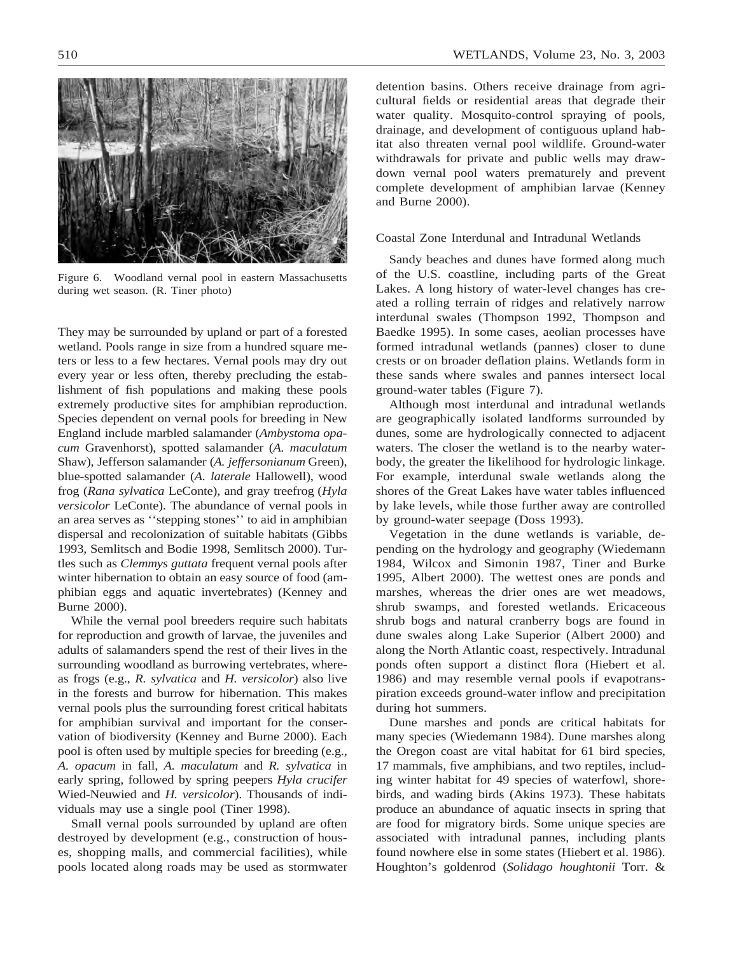

Figure 6. Woodland vernal pool in eastern Massachusetts during wet season. (R. Tiner photo)

They may be surrounded by upland or part of a forested wetland. Pools range in size from a hundred square meters or less to a few hectares. Vernal pools may dry out every year or less often, thereby precluding the establishment of fish populations and making these pools extremely productive sites for amphibian reproduction. Species dependent on vernal pools for breeding in New England include marbled salamander (*Ambystoma opacum* Gravenhorst), spotted salamander (*A. maculatum* Shaw), Jefferson salamander (*A. jeffersonianum* Green), blue-spotted salamander (*A. laterale* Hallowell), wood frog (*Rana sylvatica* LeConte), and gray treefrog (*Hyla versicolor* LeConte). The abundance of vernal pools in an area serves as ''stepping stones'' to aid in amphibian dispersal and recolonization of suitable habitats (Gibbs 1993, Semlitsch and Bodie 1998, Semlitsch 2000). Turtles such as *Clemmys guttata* frequent vernal pools after winter hibernation to obtain an easy source of food (amphibian eggs and aquatic invertebrates) (Kenney and Burne 2000).

While the vernal pool breeders require such habitats for reproduction and growth of larvae, the juveniles and adults of salamanders spend the rest of their lives in the surrounding woodland as burrowing vertebrates, whereas frogs (e.g., *R. sylvatica* and *H. versicolor*) also live in the forests and burrow for hibernation. This makes vernal pools plus the surrounding forest critical habitats for amphibian survival and important for the conservation of biodiversity (Kenney and Burne 2000). Each pool is often used by multiple species for breeding (e.g., *A. opacum* in fall, *A. maculatum* and *R. sylvatica* in early spring, followed by spring peepers *Hyla crucifer* Wied-Neuwied and *H. versicolor*). Thousands of individuals may use a single pool (Tiner 1998).

Small vernal pools surrounded by upland are often destroyed by development (e.g., construction of houses, shopping malls, and commercial facilities), while pools located along roads may be used as stormwater detention basins. Others receive drainage from agricultural fields or residential areas that degrade their water quality. Mosquito-control spraying of pools, drainage, and development of contiguous upland habitat also threaten vernal pool wildlife. Ground-water withdrawals for private and public wells may drawdown vernal pool waters prematurely and prevent complete development of amphibian larvae (Kenney and Burne 2000).

#### Coastal Zone Interdunal and Intradunal Wetlands

Sandy beaches and dunes have formed along much of the U.S. coastline, including parts of the Great Lakes. A long history of water-level changes has created a rolling terrain of ridges and relatively narrow interdunal swales (Thompson 1992, Thompson and Baedke 1995). In some cases, aeolian processes have formed intradunal wetlands (pannes) closer to dune crests or on broader deflation plains. Wetlands form in these sands where swales and pannes intersect local ground-water tables (Figure 7).

Although most interdunal and intradunal wetlands are geographically isolated landforms surrounded by dunes, some are hydrologically connected to adjacent waters. The closer the wetland is to the nearby waterbody, the greater the likelihood for hydrologic linkage. For example, interdunal swale wetlands along the shores of the Great Lakes have water tables influenced by lake levels, while those further away are controlled by ground-water seepage (Doss 1993).

Vegetation in the dune wetlands is variable, depending on the hydrology and geography (Wiedemann 1984, Wilcox and Simonin 1987, Tiner and Burke 1995, Albert 2000). The wettest ones are ponds and marshes, whereas the drier ones are wet meadows, shrub swamps, and forested wetlands. Ericaceous shrub bogs and natural cranberry bogs are found in dune swales along Lake Superior (Albert 2000) and along the North Atlantic coast, respectively. Intradunal ponds often support a distinct flora (Hiebert et al. 1986) and may resemble vernal pools if evapotranspiration exceeds ground-water inflow and precipitation during hot summers.

Dune marshes and ponds are critical habitats for many species (Wiedemann 1984). Dune marshes along the Oregon coast are vital habitat for 61 bird species, 17 mammals, five amphibians, and two reptiles, including winter habitat for 49 species of waterfowl, shorebirds, and wading birds (Akins 1973). These habitats produce an abundance of aquatic insects in spring that are food for migratory birds. Some unique species are associated with intradunal pannes, including plants found nowhere else in some states (Hiebert et al. 1986). Houghton's goldenrod (*Solidago houghtonii* Torr. &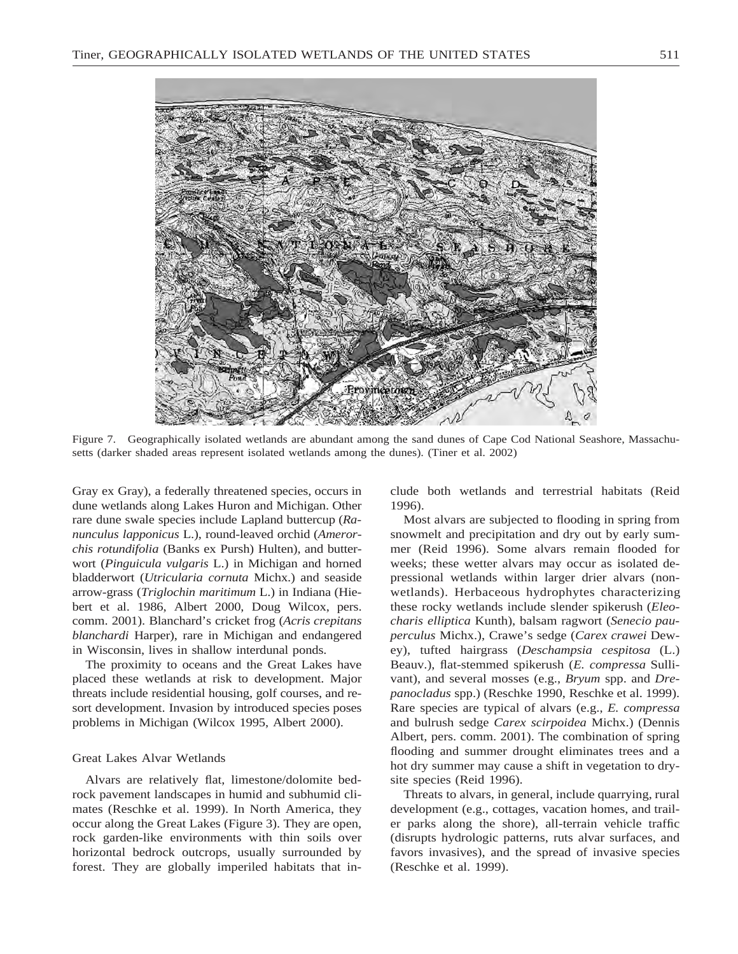

Figure 7. Geographically isolated wetlands are abundant among the sand dunes of Cape Cod National Seashore, Massachusetts (darker shaded areas represent isolated wetlands among the dunes). (Tiner et al. 2002)

Gray ex Gray), a federally threatened species, occurs in dune wetlands along Lakes Huron and Michigan. Other rare dune swale species include Lapland buttercup (*Ranunculus lapponicus* L.), round-leaved orchid (*Amerorchis rotundifolia* (Banks ex Pursh) Hulten), and butterwort (*Pinguicula vulgaris* L.) in Michigan and horned bladderwort (*Utricularia cornuta* Michx.) and seaside arrow-grass (*Triglochin maritimum* L.) in Indiana (Hiebert et al. 1986, Albert 2000, Doug Wilcox, pers. comm. 2001). Blanchard's cricket frog (*Acris crepitans blanchardi* Harper), rare in Michigan and endangered in Wisconsin, lives in shallow interdunal ponds.

The proximity to oceans and the Great Lakes have placed these wetlands at risk to development. Major threats include residential housing, golf courses, and resort development. Invasion by introduced species poses problems in Michigan (Wilcox 1995, Albert 2000).

### Great Lakes Alvar Wetlands

Alvars are relatively flat, limestone/dolomite bedrock pavement landscapes in humid and subhumid climates (Reschke et al. 1999). In North America, they occur along the Great Lakes (Figure 3). They are open, rock garden-like environments with thin soils over horizontal bedrock outcrops, usually surrounded by forest. They are globally imperiled habitats that include both wetlands and terrestrial habitats (Reid 1996).

Most alvars are subjected to flooding in spring from snowmelt and precipitation and dry out by early summer (Reid 1996). Some alvars remain flooded for weeks; these wetter alvars may occur as isolated depressional wetlands within larger drier alvars (nonwetlands). Herbaceous hydrophytes characterizing these rocky wetlands include slender spikerush (*Eleocharis elliptica* Kunth), balsam ragwort (*Senecio pauperculus* Michx.), Crawe's sedge (*Carex crawei* Dewey), tufted hairgrass (*Deschampsia cespitosa* (L.) Beauv.), flat-stemmed spikerush (*E. compressa* Sullivant), and several mosses (e.g., *Bryum* spp. and *Drepanocladus* spp.) (Reschke 1990, Reschke et al. 1999). Rare species are typical of alvars (e.g., *E. compressa* and bulrush sedge *Carex scirpoidea* Michx.) (Dennis Albert, pers. comm. 2001). The combination of spring flooding and summer drought eliminates trees and a hot dry summer may cause a shift in vegetation to drysite species (Reid 1996).

Threats to alvars, in general, include quarrying, rural development (e.g., cottages, vacation homes, and trailer parks along the shore), all-terrain vehicle traffic (disrupts hydrologic patterns, ruts alvar surfaces, and favors invasives), and the spread of invasive species (Reschke et al. 1999).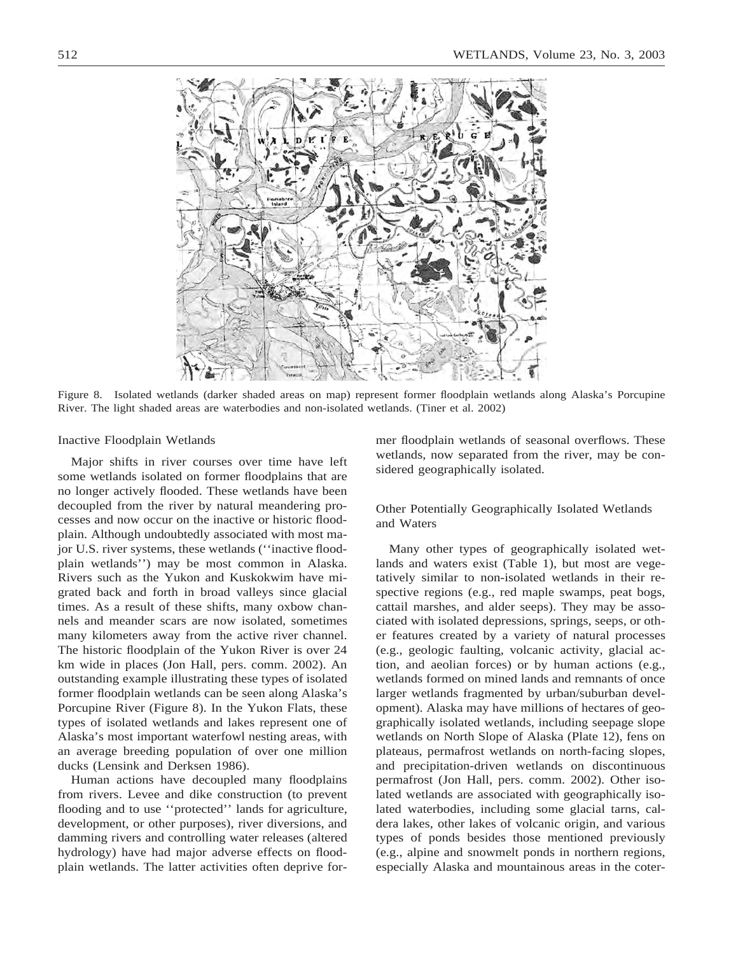

Figure 8. Isolated wetlands (darker shaded areas on map) represent former floodplain wetlands along Alaska's Porcupine River. The light shaded areas are waterbodies and non-isolated wetlands. (Tiner et al. 2002)

#### Inactive Floodplain Wetlands

Major shifts in river courses over time have left some wetlands isolated on former floodplains that are no longer actively flooded. These wetlands have been decoupled from the river by natural meandering processes and now occur on the inactive or historic floodplain. Although undoubtedly associated with most major U.S. river systems, these wetlands (''inactive floodplain wetlands'') may be most common in Alaska. Rivers such as the Yukon and Kuskokwim have migrated back and forth in broad valleys since glacial times. As a result of these shifts, many oxbow channels and meander scars are now isolated, sometimes many kilometers away from the active river channel. The historic floodplain of the Yukon River is over 24 km wide in places (Jon Hall, pers. comm. 2002). An outstanding example illustrating these types of isolated former floodplain wetlands can be seen along Alaska's Porcupine River (Figure 8). In the Yukon Flats, these types of isolated wetlands and lakes represent one of Alaska's most important waterfowl nesting areas, with an average breeding population of over one million ducks (Lensink and Derksen 1986).

Human actions have decoupled many floodplains from rivers. Levee and dike construction (to prevent flooding and to use ''protected'' lands for agriculture, development, or other purposes), river diversions, and damming rivers and controlling water releases (altered hydrology) have had major adverse effects on floodplain wetlands. The latter activities often deprive former floodplain wetlands of seasonal overflows. These wetlands, now separated from the river, may be considered geographically isolated.

Other Potentially Geographically Isolated Wetlands and Waters

Many other types of geographically isolated wetlands and waters exist (Table 1), but most are vegetatively similar to non-isolated wetlands in their respective regions (e.g., red maple swamps, peat bogs, cattail marshes, and alder seeps). They may be associated with isolated depressions, springs, seeps, or other features created by a variety of natural processes (e.g., geologic faulting, volcanic activity, glacial action, and aeolian forces) or by human actions (e.g., wetlands formed on mined lands and remnants of once larger wetlands fragmented by urban/suburban development). Alaska may have millions of hectares of geographically isolated wetlands, including seepage slope wetlands on North Slope of Alaska (Plate 12), fens on plateaus, permafrost wetlands on north-facing slopes, and precipitation-driven wetlands on discontinuous permafrost (Jon Hall, pers. comm. 2002). Other isolated wetlands are associated with geographically isolated waterbodies, including some glacial tarns, caldera lakes, other lakes of volcanic origin, and various types of ponds besides those mentioned previously (e.g., alpine and snowmelt ponds in northern regions, especially Alaska and mountainous areas in the coter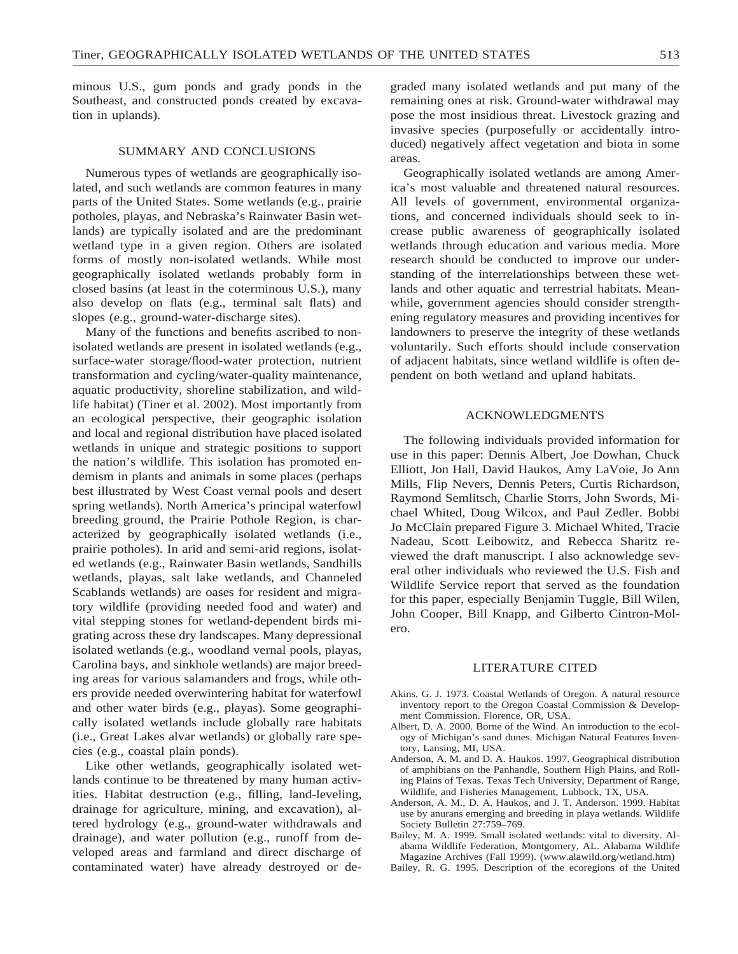minous U.S., gum ponds and grady ponds in the Southeast, and constructed ponds created by excavation in uplands).

#### SUMMARY AND CONCLUSIONS

Numerous types of wetlands are geographically isolated, and such wetlands are common features in many parts of the United States. Some wetlands (e.g., prairie potholes, playas, and Nebraska's Rainwater Basin wetlands) are typically isolated and are the predominant wetland type in a given region. Others are isolated forms of mostly non-isolated wetlands. While most geographically isolated wetlands probably form in closed basins (at least in the coterminous U.S.), many also develop on flats (e.g., terminal salt flats) and slopes (e.g., ground-water-discharge sites).

Many of the functions and benefits ascribed to nonisolated wetlands are present in isolated wetlands (e.g., surface-water storage/flood-water protection, nutrient transformation and cycling/water-quality maintenance, aquatic productivity, shoreline stabilization, and wildlife habitat) (Tiner et al. 2002). Most importantly from an ecological perspective, their geographic isolation and local and regional distribution have placed isolated wetlands in unique and strategic positions to support the nation's wildlife. This isolation has promoted endemism in plants and animals in some places (perhaps best illustrated by West Coast vernal pools and desert spring wetlands). North America's principal waterfowl breeding ground, the Prairie Pothole Region, is characterized by geographically isolated wetlands (i.e., prairie potholes). In arid and semi-arid regions, isolated wetlands (e.g., Rainwater Basin wetlands, Sandhills wetlands, playas, salt lake wetlands, and Channeled Scablands wetlands) are oases for resident and migratory wildlife (providing needed food and water) and vital stepping stones for wetland-dependent birds migrating across these dry landscapes. Many depressional isolated wetlands (e.g., woodland vernal pools, playas, Carolina bays, and sinkhole wetlands) are major breeding areas for various salamanders and frogs, while others provide needed overwintering habitat for waterfowl and other water birds (e.g., playas). Some geographically isolated wetlands include globally rare habitats (i.e., Great Lakes alvar wetlands) or globally rare species (e.g., coastal plain ponds).

Like other wetlands, geographically isolated wetlands continue to be threatened by many human activities. Habitat destruction (e.g., filling, land-leveling, drainage for agriculture, mining, and excavation), altered hydrology (e.g., ground-water withdrawals and drainage), and water pollution (e.g., runoff from developed areas and farmland and direct discharge of contaminated water) have already destroyed or de-

graded many isolated wetlands and put many of the remaining ones at risk. Ground-water withdrawal may pose the most insidious threat. Livestock grazing and invasive species (purposefully or accidentally introduced) negatively affect vegetation and biota in some areas.

Geographically isolated wetlands are among America's most valuable and threatened natural resources. All levels of government, environmental organizations, and concerned individuals should seek to increase public awareness of geographically isolated wetlands through education and various media. More research should be conducted to improve our understanding of the interrelationships between these wetlands and other aquatic and terrestrial habitats. Meanwhile, government agencies should consider strengthening regulatory measures and providing incentives for landowners to preserve the integrity of these wetlands voluntarily. Such efforts should include conservation of adjacent habitats, since wetland wildlife is often dependent on both wetland and upland habitats.

#### ACKNOWLEDGMENTS

The following individuals provided information for use in this paper: Dennis Albert, Joe Dowhan, Chuck Elliott, Jon Hall, David Haukos, Amy LaVoie, Jo Ann Mills, Flip Nevers, Dennis Peters, Curtis Richardson, Raymond Semlitsch, Charlie Storrs, John Swords, Michael Whited, Doug Wilcox, and Paul Zedler. Bobbi Jo McClain prepared Figure 3. Michael Whited, Tracie Nadeau, Scott Leibowitz, and Rebecca Sharitz reviewed the draft manuscript. I also acknowledge several other individuals who reviewed the U.S. Fish and Wildlife Service report that served as the foundation for this paper, especially Benjamin Tuggle, Bill Wilen, John Cooper, Bill Knapp, and Gilberto Cintron-Molero.

#### LITERATURE CITED

- Akins, G. J. 1973. Coastal Wetlands of Oregon. A natural resource inventory report to the Oregon Coastal Commission & Development Commission. Florence, OR, USA.
- Albert, D. A. 2000. Borne of the Wind. An introduction to the ecology of Michigan's sand dunes. Michigan Natural Features Inventory, Lansing, MI, USA.
- Anderson, A. M. and D. A. Haukos. 1997. Geographical distribution of amphibians on the Panhandle, Southern High Plains, and Rolling Plains of Texas. Texas Tech University, Department of Range, Wildlife, and Fisheries Management, Lubbock, TX, USA.
- Anderson, A. M., D. A. Haukos, and J. T. Anderson. 1999. Habitat use by anurans emerging and breeding in playa wetlands. Wildlife Society Bulletin 27:759–769.
- Bailey, M. A. 1999. Small isolated wetlands: vital to diversity. Alabama Wildlife Federation, Montgomery, AL. Alabama Wildlife Magazine Archives (Fall 1999). (www.alawild.org/wetland.htm)
- Bailey, R. G. 1995. Description of the ecoregions of the United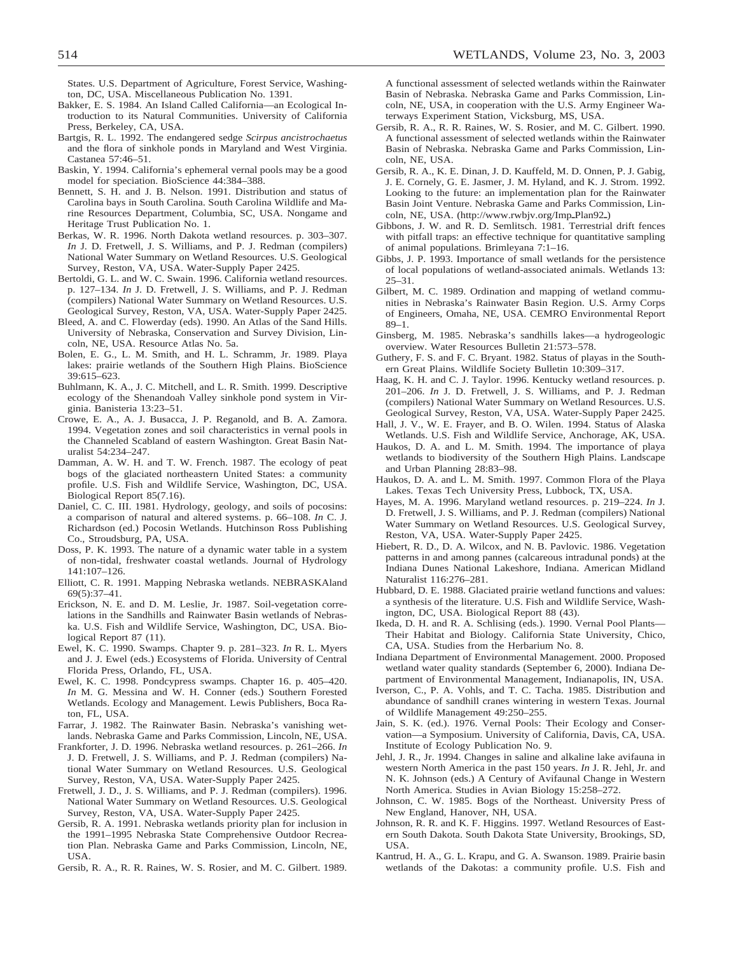States. U.S. Department of Agriculture, Forest Service, Washington, DC, USA. Miscellaneous Publication No. 1391.

- Bakker, E. S. 1984. An Island Called California—an Ecological Introduction to its Natural Communities. University of California Press, Berkeley, CA, USA.
- Bartgis, R. L. 1992. The endangered sedge *Scirpus ancistrochaetus* and the flora of sinkhole ponds in Maryland and West Virginia. Castanea 57:46–51.
- Baskin, Y. 1994. California's ephemeral vernal pools may be a good model for speciation. BioScience 44:384–388.
- Bennett, S. H. and J. B. Nelson. 1991. Distribution and status of Carolina bays in South Carolina. South Carolina Wildlife and Marine Resources Department, Columbia, SC, USA. Nongame and Heritage Trust Publication No. 1.
- Berkas, W. R. 1996. North Dakota wetland resources. p. 303–307. *In* J. D. Fretwell, J. S. Williams, and P. J. Redman (compilers) National Water Summary on Wetland Resources. U.S. Geological Survey, Reston, VA, USA. Water-Supply Paper 2425.
- Bertoldi, G. L. and W. C. Swain. 1996. California wetland resources. p. 127–134. *In* J. D. Fretwell, J. S. Williams, and P. J. Redman (compilers) National Water Summary on Wetland Resources. U.S. Geological Survey, Reston, VA, USA. Water-Supply Paper 2425.
- Bleed, A. and C. Flowerday (eds). 1990. An Atlas of the Sand Hills. University of Nebraska, Conservation and Survey Division, Lincoln, NE, USA. Resource Atlas No. 5a.
- Bolen, E. G., L. M. Smith, and H. L. Schramm, Jr. 1989. Playa lakes: prairie wetlands of the Southern High Plains. BioScience 39:615–623.
- Buhlmann, K. A., J. C. Mitchell, and L. R. Smith. 1999. Descriptive ecology of the Shenandoah Valley sinkhole pond system in Virginia. Banisteria 13:23–51.
- Crowe, E. A., A. J. Busacca, J. P. Reganold, and B. A. Zamora. 1994. Vegetation zones and soil characteristics in vernal pools in the Channeled Scabland of eastern Washington. Great Basin Naturalist 54:234–247.
- Damman, A. W. H. and T. W. French. 1987. The ecology of peat bogs of the glaciated northeastern United States: a community profile. U.S. Fish and Wildlife Service, Washington, DC, USA. Biological Report 85(7.16).
- Daniel, C. C. III. 1981. Hydrology, geology, and soils of pocosins: a comparison of natural and altered systems. p. 66–108. *In* C. J. Richardson (ed.) Pocosin Wetlands. Hutchinson Ross Publishing Co., Stroudsburg, PA, USA.
- Doss, P. K. 1993. The nature of a dynamic water table in a system of non-tidal, freshwater coastal wetlands. Journal of Hydrology 141:107–126.
- Elliott, C. R. 1991. Mapping Nebraska wetlands. NEBRASKAland 69(5):37–41.
- Erickson, N. E. and D. M. Leslie, Jr. 1987. Soil-vegetation correlations in the Sandhills and Rainwater Basin wetlands of Nebraska. U.S. Fish and Wildlife Service, Washington, DC, USA. Biological Report 87 (11).
- Ewel, K. C. 1990. Swamps. Chapter 9. p. 281–323. *In* R. L. Myers and J. J. Ewel (eds.) Ecosystems of Florida. University of Central Florida Press, Orlando, FL, USA.
- Ewel, K. C. 1998. Pondcypress swamps. Chapter 16. p. 405–420. *In* M. G. Messina and W. H. Conner (eds.) Southern Forested Wetlands. Ecology and Management. Lewis Publishers, Boca Raton, FL, USA.
- Farrar, J. 1982. The Rainwater Basin. Nebraska's vanishing wetlands. Nebraska Game and Parks Commission, Lincoln, NE, USA.
- Frankforter, J. D. 1996. Nebraska wetland resources. p. 261–266. *In* J. D. Fretwell, J. S. Williams, and P. J. Redman (compilers) National Water Summary on Wetland Resources. U.S. Geological Survey, Reston, VA, USA. Water-Supply Paper 2425.
- Fretwell, J. D., J. S. Williams, and P. J. Redman (compilers). 1996. National Water Summary on Wetland Resources. U.S. Geological Survey, Reston, VA, USA. Water-Supply Paper 2425.
- Gersib, R. A. 1991. Nebraska wetlands priority plan for inclusion in the 1991–1995 Nebraska State Comprehensive Outdoor Recreation Plan. Nebraska Game and Parks Commission, Lincoln, NE, USA.
- Gersib, R. A., R. R. Raines, W. S. Rosier, and M. C. Gilbert. 1989.

A functional assessment of selected wetlands within the Rainwater Basin of Nebraska. Nebraska Game and Parks Commission, Lincoln, NE, USA, in cooperation with the U.S. Army Engineer Waterways Experiment Station, Vicksburg, MS, USA.

- Gersib, R. A., R. R. Raines, W. S. Rosier, and M. C. Gilbert. 1990. A functional assessment of selected wetlands within the Rainwater Basin of Nebraska. Nebraska Game and Parks Commission, Lincoln, NE, USA.
- Gersib, R. A., K. E. Dinan, J. D. Kauffeld, M. D. Onnen, P. J. Gabig, J. E. Cornely, G. E. Jasmer, J. M. Hyland, and K. J. Strom. 1992. Looking to the future: an implementation plan for the Rainwater Basin Joint Venture. Nebraska Game and Parks Commission, Lincoln, NE, USA. (http://www.rwbjv.org/Imp\_Plan92\_)
- Gibbons, J. W. and R. D. Semlitsch. 1981. Terrestrial drift fences with pitfall traps: an effective technique for quantitative sampling of animal populations. Brimleyana 7:1–16.
- Gibbs, J. P. 1993. Importance of small wetlands for the persistence of local populations of wetland-associated animals. Wetlands 13:  $25 - 31$ .
- Gilbert, M. C. 1989. Ordination and mapping of wetland communities in Nebraska's Rainwater Basin Region. U.S. Army Corps of Engineers, Omaha, NE, USA. CEMRO Environmental Report 89–1.
- Ginsberg, M. 1985. Nebraska's sandhills lakes—a hydrogeologic overview. Water Resources Bulletin 21:573–578.
- Guthery, F. S. and F. C. Bryant. 1982. Status of playas in the Southern Great Plains. Wildlife Society Bulletin 10:309–317.
- Haag, K. H. and C. J. Taylor. 1996. Kentucky wetland resources. p. 201–206. *In* J. D. Fretwell, J. S. Williams, and P. J. Redman (compilers) National Water Summary on Wetland Resources. U.S. Geological Survey, Reston, VA, USA. Water-Supply Paper 2425.
- Hall, J. V., W. E. Frayer, and B. O. Wilen. 1994. Status of Alaska Wetlands. U.S. Fish and Wildlife Service, Anchorage, AK, USA.
- Haukos, D. A. and L. M. Smith. 1994. The importance of playa wetlands to biodiversity of the Southern High Plains. Landscape and Urban Planning 28:83–98.
- Haukos, D. A. and L. M. Smith. 1997. Common Flora of the Playa Lakes. Texas Tech University Press, Lubbock, TX, USA.
- Hayes, M. A. 1996. Maryland wetland resources. p. 219–224. *In* J. D. Fretwell, J. S. Williams, and P. J. Redman (compilers) National Water Summary on Wetland Resources. U.S. Geological Survey, Reston, VA, USA. Water-Supply Paper 2425.
- Hiebert, R. D., D. A. Wilcox, and N. B. Pavlovic. 1986. Vegetation patterns in and among pannes (calcareous intradunal ponds) at the Indiana Dunes National Lakeshore, Indiana. American Midland Naturalist 116:276–281.
- Hubbard, D. E. 1988. Glaciated prairie wetland functions and values: a synthesis of the literature. U.S. Fish and Wildlife Service, Washington, DC, USA. Biological Report 88 (43).
- Ikeda, D. H. and R. A. Schlising (eds.). 1990. Vernal Pool Plants— Their Habitat and Biology. California State University, Chico, CA, USA. Studies from the Herbarium No. 8.
- Indiana Department of Environmental Management. 2000. Proposed wetland water quality standards (September 6, 2000). Indiana Department of Environmental Management, Indianapolis, IN, USA.
- Iverson, C., P. A. Vohls, and T. C. Tacha. 1985. Distribution and abundance of sandhill cranes wintering in western Texas. Journal of Wildlife Management 49:250–255.
- Jain, S. K. (ed.). 1976. Vernal Pools: Their Ecology and Conservation—a Symposium. University of California, Davis, CA, USA. Institute of Ecology Publication No. 9.
- Jehl, J. R., Jr. 1994. Changes in saline and alkaline lake avifauna in western North America in the past 150 years. *In* J. R. Jehl, Jr. and N. K. Johnson (eds.) A Century of Avifaunal Change in Western North America. Studies in Avian Biology 15:258–272.
- Johnson, C. W. 1985. Bogs of the Northeast. University Press of New England, Hanover, NH, USA.
- Johnson, R. R. and K. F. Higgins. 1997. Wetland Resources of Eastern South Dakota. South Dakota State University, Brookings, SD, USA.
- Kantrud, H. A., G. L. Krapu, and G. A. Swanson. 1989. Prairie basin wetlands of the Dakotas: a community profile. U.S. Fish and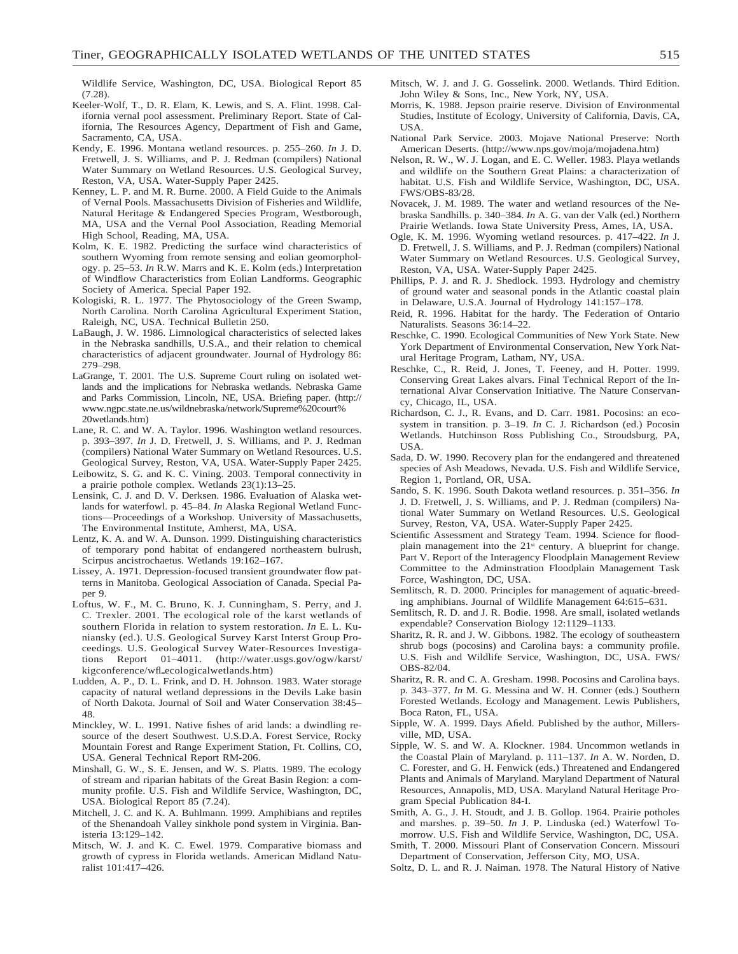Wildlife Service, Washington, DC, USA. Biological Report 85 (7.28).

- Keeler-Wolf, T., D. R. Elam, K. Lewis, and S. A. Flint. 1998. California vernal pool assessment. Preliminary Report. State of California, The Resources Agency, Department of Fish and Game, Sacramento, CA, USA.
- Kendy, E. 1996. Montana wetland resources. p. 255–260. *In* J. D. Fretwell, J. S. Williams, and P. J. Redman (compilers) National Water Summary on Wetland Resources. U.S. Geological Survey, Reston, VA, USA. Water-Supply Paper 2425.
- Kenney, L. P. and M. R. Burne. 2000. A Field Guide to the Animals of Vernal Pools. Massachusetts Division of Fisheries and Wildlife, Natural Heritage & Endangered Species Program, Westborough, MA, USA and the Vernal Pool Association, Reading Memorial High School, Reading, MA, USA.
- Kolm, K. E. 1982. Predicting the surface wind characteristics of southern Wyoming from remote sensing and eolian geomorphology. p. 25–53. *In* R.W. Marrs and K. E. Kolm (eds.) Interpretation of Windflow Characteristics from Eolian Landforms. Geographic Society of America. Special Paper 192.
- Kologiski, R. L. 1977. The Phytosociology of the Green Swamp, North Carolina. North Carolina Agricultural Experiment Station, Raleigh, NC, USA. Technical Bulletin 250.
- LaBaugh, J. W. 1986. Limnological characteristics of selected lakes in the Nebraska sandhills, U.S.A., and their relation to chemical characteristics of adjacent groundwater. Journal of Hydrology 86: 279–298.
- LaGrange, T. 2001. The U.S. Supreme Court ruling on isolated wetlands and the implications for Nebraska wetlands. Nebraska Game and Parks Commission, Lincoln, NE, USA. Briefing paper. (http:// www.ngpc.state.ne.us/wildnebraska/network/Supreme%20court% 20wetlands.htm)
- Lane, R. C. and W. A. Taylor. 1996. Washington wetland resources. p. 393–397. *In* J. D. Fretwell, J. S. Williams, and P. J. Redman (compilers) National Water Summary on Wetland Resources. U.S. Geological Survey, Reston, VA, USA. Water-Supply Paper 2425.
- Leibowitz, S. G. and K. C. Vining. 2003. Temporal connectivity in a prairie pothole complex. Wetlands 23(1):13–25.
- Lensink, C. J. and D. V. Derksen. 1986. Evaluation of Alaska wetlands for waterfowl. p. 45–84. *In* Alaska Regional Wetland Functions—Proceedings of a Workshop. University of Massachusetts, The Environmental Institute, Amherst, MA, USA.
- Lentz, K. A. and W. A. Dunson. 1999. Distinguishing characteristics of temporary pond habitat of endangered northeastern bulrush, Scirpus ancistrochaetus. Wetlands 19:162–167.
- Lissey, A. 1971. Depression-focused transient groundwater flow patterns in Manitoba. Geological Association of Canada. Special Paper 9.
- Loftus, W. F., M. C. Bruno, K. J. Cunningham, S. Perry, and J. C. Trexler. 2001. The ecological role of the karst wetlands of southern Florida in relation to system restoration. *In* E. L. Kuniansky (ed.). U.S. Geological Survey Karst Interst Group Proceedings. U.S. Geological Survey Water-Resources Investigations Report 01–4011. (http://water.usgs.gov/ogw/karst/ kigconference/wfl\_ecologicalwetlands.htm)
- Ludden, A. P., D. L. Frink, and D. H. Johnson. 1983. Water storage capacity of natural wetland depressions in the Devils Lake basin of North Dakota. Journal of Soil and Water Conservation 38:45– 48.
- Minckley, W. L. 1991. Native fishes of arid lands: a dwindling resource of the desert Southwest. U.S.D.A. Forest Service, Rocky Mountain Forest and Range Experiment Station, Ft. Collins, CO, USA. General Technical Report RM-206.
- Minshall, G. W., S. E. Jensen, and W. S. Platts. 1989. The ecology of stream and riparian habitats of the Great Basin Region: a community profile. U.S. Fish and Wildlife Service, Washington, DC, USA. Biological Report 85 (7.24).
- Mitchell, J. C. and K. A. Buhlmann. 1999. Amphibians and reptiles of the Shenandoah Valley sinkhole pond system in Virginia. Banisteria 13:129–142.
- Mitsch, W. J. and K. C. Ewel. 1979. Comparative biomass and growth of cypress in Florida wetlands. American Midland Naturalist 101:417–426.
- Mitsch, W. J. and J. G. Gosselink. 2000. Wetlands. Third Edition. John Wiley & Sons, Inc., New York, NY, USA.
- Morris, K. 1988. Jepson prairie reserve. Division of Environmental Studies, Institute of Ecology, University of California, Davis, CA, USA.
- National Park Service. 2003. Mojave National Preserve: North American Deserts. (http://www.nps.gov/moja/mojadena.htm)
- Nelson, R. W., W. J. Logan, and E. C. Weller. 1983. Playa wetlands and wildlife on the Southern Great Plains: a characterization of habitat. U.S. Fish and Wildlife Service, Washington, DC, USA. FWS/OBS-83/28.
- Novacek, J. M. 1989. The water and wetland resources of the Nebraska Sandhills. p. 340–384. *In* A. G. van der Valk (ed.) Northern Prairie Wetlands. Iowa State University Press, Ames, IA, USA.
- Ogle, K. M. 1996. Wyoming wetland resources. p. 417–422. *In* J. D. Fretwell, J. S. Williams, and P. J. Redman (compilers) National Water Summary on Wetland Resources. U.S. Geological Survey, Reston, VA, USA. Water-Supply Paper 2425.
- Phillips, P. J. and R. J. Shedlock. 1993. Hydrology and chemistry of ground water and seasonal ponds in the Atlantic coastal plain in Delaware, U.S.A. Journal of Hydrology 141:157–178.
- Reid, R. 1996. Habitat for the hardy. The Federation of Ontario Naturalists. Seasons 36:14–22.
- Reschke, C. 1990. Ecological Communities of New York State. New York Department of Environmental Conservation, New York Natural Heritage Program, Latham, NY, USA.
- Reschke, C., R. Reid, J. Jones, T. Feeney, and H. Potter. 1999. Conserving Great Lakes alvars. Final Technical Report of the International Alvar Conservation Initiative. The Nature Conservancy, Chicago, IL, USA.
- Richardson, C. J., R. Evans, and D. Carr. 1981. Pocosins: an ecosystem in transition. p. 3–19. *In* C. J. Richardson (ed.) Pocosin Wetlands. Hutchinson Ross Publishing Co., Stroudsburg, PA, USA.
- Sada, D. W. 1990. Recovery plan for the endangered and threatened species of Ash Meadows, Nevada. U.S. Fish and Wildlife Service, Region 1, Portland, OR, USA.
- Sando, S. K. 1996. South Dakota wetland resources. p. 351–356. *In* J. D. Fretwell, J. S. Williams, and P. J. Redman (compilers) National Water Summary on Wetland Resources. U.S. Geological Survey, Reston, VA, USA. Water-Supply Paper 2425.
- Scientific Assessment and Strategy Team. 1994. Science for floodplain management into the  $21<sup>st</sup>$  century. A blueprint for change. Part V. Report of the Interagency Floodplain Management Review Committee to the Adminstration Floodplain Management Task Force, Washington, DC, USA.
- Semlitsch, R. D. 2000. Principles for management of aquatic-breeding amphibians. Journal of Wildlife Management 64:615–631.
- Semlitsch, R. D. and J. R. Bodie. 1998. Are small, isolated wetlands expendable? Conservation Biology 12:1129–1133.
- Sharitz, R. R. and J. W. Gibbons. 1982. The ecology of southeastern shrub bogs (pocosins) and Carolina bays: a community profile. U.S. Fish and Wildlife Service, Washington, DC, USA. FWS/ OBS-82/04.
- Sharitz, R. R. and C. A. Gresham. 1998. Pocosins and Carolina bays. p. 343–377. *In* M. G. Messina and W. H. Conner (eds.) Southern Forested Wetlands. Ecology and Management. Lewis Publishers, Boca Raton, FL, USA.
- Sipple, W. A. 1999. Days Afield. Published by the author, Millersville, MD, USA.
- Sipple, W. S. and W. A. Klockner. 1984. Uncommon wetlands in the Coastal Plain of Maryland. p. 111–137. *In* A. W. Norden, D. C. Forester, and G. H. Fenwick (eds.) Threatened and Endangered Plants and Animals of Maryland. Maryland Department of Natural Resources, Annapolis, MD, USA. Maryland Natural Heritage Program Special Publication 84-I.
- Smith, A. G., J. H. Stoudt, and J. B. Gollop. 1964. Prairie potholes and marshes. p. 39–50. *In* J. P. Linduska (ed.) Waterfowl Tomorrow. U.S. Fish and Wildlife Service, Washington, DC, USA.
- Smith, T. 2000. Missouri Plant of Conservation Concern. Missouri Department of Conservation, Jefferson City, MO, USA.
- Soltz, D. L. and R. J. Naiman. 1978. The Natural History of Native